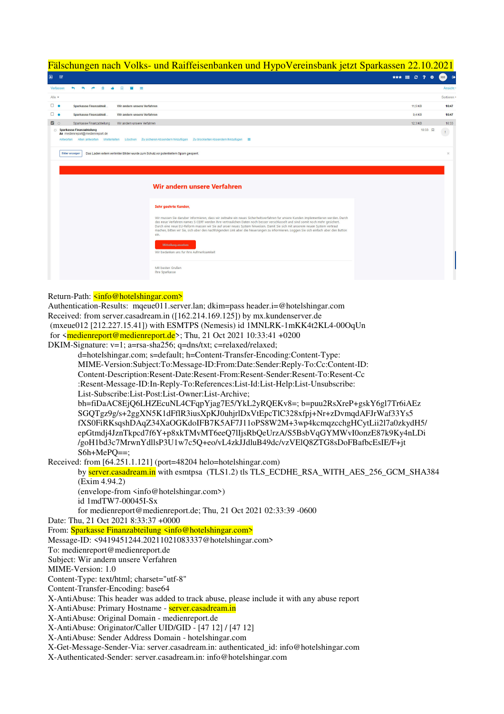## Fälschungen nach Volks- und Raiffeisenbanken und HypoVereinsbank jetzt Sparkassen 22.10.2021

| $\Box$                     | $\mathbf{z}$                                                                                                                                                                                                                                                                                                                                                                                                                                                                                                                                        | *** ## @ ?<br>$\bullet$ | $\bullet$<br>RM |
|----------------------------|-----------------------------------------------------------------------------------------------------------------------------------------------------------------------------------------------------------------------------------------------------------------------------------------------------------------------------------------------------------------------------------------------------------------------------------------------------------------------------------------------------------------------------------------------------|-------------------------|-----------------|
|                            | Verfassen<br>€<br>商<br>$\Box$<br>- 2<br><b>CAT</b>                                                                                                                                                                                                                                                                                                                                                                                                                                                                                                  |                         | Ansicht         |
| Alle $\blacktriangleright$ |                                                                                                                                                                                                                                                                                                                                                                                                                                                                                                                                                     |                         | Sortieren ·     |
|                            | $\Box$<br>Sparkasse Finanzabteil.<br>Wir andern unsere Verfahren                                                                                                                                                                                                                                                                                                                                                                                                                                                                                    | 11,5 KB                 | 10:47           |
|                            | $\Box$<br>Sparkasse Finanzabteil.<br>Wir andern unsere Verfahren                                                                                                                                                                                                                                                                                                                                                                                                                                                                                    | 9,4 KB                  | 10:47           |
|                            | ◘○<br>Sparkasse Finanzabteilung<br>Wir andern unsere Verfahren                                                                                                                                                                                                                                                                                                                                                                                                                                                                                      | 12.3 KB                 | 10:33           |
|                            | Sparkasse Finanzabteilung<br>An medienreport@medienreport.de<br>Antworten Allen antworten Weiterleiten Löschen Zu sicheren Absendern hinzufügen Zu blockierten Absendern hinzufügen                                                                                                                                                                                                                                                                                                                                                                 | 10:33 囚                 | $\mathbf{1}$    |
|                            | Das Laden extern verlinkter Bilder wurde zum Schutz vor potentiellem Spam gesperrt.<br>Bilder anzeigen                                                                                                                                                                                                                                                                                                                                                                                                                                              |                         | $>$             |
|                            | Wir andern unsere Verfahren                                                                                                                                                                                                                                                                                                                                                                                                                                                                                                                         |                         |                 |
|                            | Sehr geehrte Kunden,                                                                                                                                                                                                                                                                                                                                                                                                                                                                                                                                |                         |                 |
|                            | Wir mussen Sie daruber informieren, dass wir zeitnahe ein neues Sicherheitsverfahren fur unsere Kunden implementieren werden. Durch<br>das neue Verfahren names S-CERT werden Ihre vertraulichen Daten noch besser verschlusselt und sind somit noch mehr gesichert.<br>Durch eine neue EU-Reform mussen wir Sie auf unser neues System hinweisen. Damit Sie sich mit unserem neuen System vertraut<br>machen, bitten wir Sie, sich uber den nachfolgenden Link uber die Neuerungen zu informieren. Loggen Sie sich einfach uber den Button<br>ein. |                         |                 |
|                            | Mitteilung ansehen<br>Wir bedanken uns fur Ihre Aufmerksamkeit                                                                                                                                                                                                                                                                                                                                                                                                                                                                                      |                         |                 |
|                            | Mit besten Grußen<br>Ihre Sparkasse                                                                                                                                                                                                                                                                                                                                                                                                                                                                                                                 |                         |                 |

## Return-Path: <info@hotelshingar.com>

Authentication-Results: mqeue011.server.lan; dkim=pass header.i=@hotelshingar.com Received: from server.casadream.in ([162.214.169.125]) by mx.kundenserver.de (mxeue012 [212.227.15.41]) with ESMTPS (Nemesis) id 1MNLRK-1mKK4t2KL4-00OqUn for  $\langle$ medienreport@medienreport.de>; Thu, 21 Oct 2021 10:33:41 +0200 DKIM-Signature:  $v=1$ ; a=rsa-sha256; q=dns/txt; c=relaxed/relaxed; d=hotelshingar.com; s=default: h=Content-Transfer-Encoding:Content-Type: MIME-Version:Subject:To:Message-ID:From:Date:Sender:Reply-To:Co:Content-ID: Content-Description:Resent-Date:Resent-From:Resent-Sender:Resent-To:Resent-Cc :Resent-Message-ID:In-Reply-To:References:List-Id:List-Help:List-Unsubscribe: List-Subscribe:List-Post:List-Owner:List-Archive; bh=fiDaAC8EjQ6LHZEcuNL4CFqpYjag7E5/YkL2yRQEKv8=; b=puu2RsXreP+gskY6gl7Tr6iAEz SGQTgz9g/s+2ggXN5K1dFflR3iusXpKJ0uhjrlDxVtEpcTlC328xfpj+Nr+zDvmqdAFJrWaf33Ys5 fXS0FiRKsqshDAqZ34XaOGKdoIFB7K5AF7J11oPS8W2M+3wp4kcmqzcchgHCytLii2l7a0zkydH5/ epGtmdj4JznTkpcd7f6Y+p8xkTMvMT6eeO7lIjsRbOeUrzA/S5BsbVqGYMWvI0onzE87k9Kv4nLDi /goH1bd3c7MrwnYdllsP3U1w7c5Q+eo/vL4zkJJdluB49dc/vzVElQ8ZTG8sDoFBafbcEsIE/F+jt  $S6h+MePO==$ Received: from [64.251.1.121] (port=48204 helo=hotelshingar.com) by server.casadream.in with esmtpsa (TLS1.2) tls TLS ECDHE RSA WITH AES 256 GCM SHA384  $(Exim 4.94.2)$ (envelope-from <info@hotelshingar.com>) id 1mdTW7-00045I-Sx for medienreport@medienreport.de; Thu, 21 Oct 2021 02:33:39 -0600 Date: Thu, 21 Oct 2021 8:33:37 +0000 From: Sparkasse Finanzabteilung <info@hotelshingar.com> Message-ID: <9419451244.20211021083337@hotelshingar.com> To: medienreport@medienreport.de Subject: Wir andern unsere Verfahren MIME-Version: 1.0 Content-Type: text/html; charset="utf-8" Content-Transfer-Encoding: base64 X-AntiAbuse: This header was added to track abuse, please include it with any abuse report X-AntiAbuse: Primary Hostname - server.casadream.in X-AntiAbuse: Original Domain - medienreport.de X-AntiAbuse: Originator/Caller UID/GID - [47 12] / [47 12] X-AntiAbuse: Sender Address Domain - hotelshingar.com X-Get-Message-Sender-Via: server.casadream.in: authenticated id: info@hotelshingar.com X-Authenticated-Sender: server.casadream.in: info@hotelshingar.com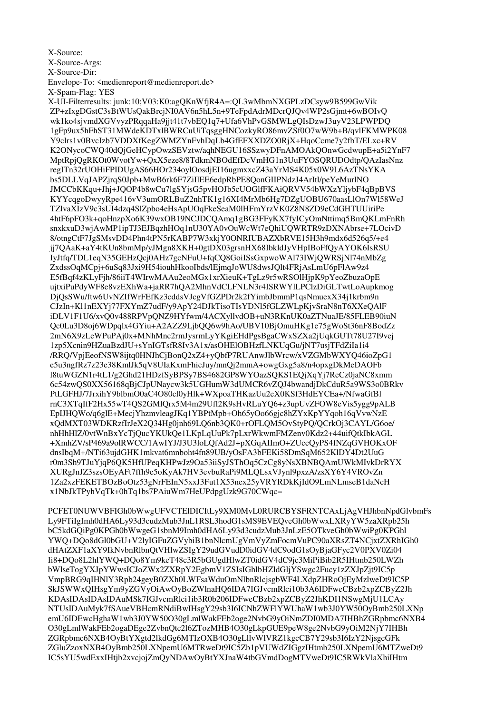## X-Source:

X-Source-Args:

X-Source-Dir:

Envelope-To: <medienreport@medienreport.de>

X-Spam-Flag: YES

X-UI-Filterresults: junk:10:V03:K0:agOKnWfjR4A=:OL3wMbmNXGPLzDCsyw9B599GwVik ZP+zIxgDGstC3sBtWUsQakBrcjNI0AV6n5hL5n+9TeFpdAdrMDcrQJQv4WP2sGjmt+6wBOIvQ wk1ko4sjvmdXGVvyzPRqqaHa9jjt41t7vbEQ1q7+Ufa6VhPvGSMWLgQIsDzwJ3uyV23LPWPDQ 1gFp9ux5hFhST31MWdeKDTxlBWRCuUiTasggHNCozkvRO86mvZSf0O7wW9b+B/avlFKMWPK08 Y9clrs1v0BvcIzb7VDDXfKegZWMZYnFvhDqLb4GfEFXXDZO0RjX+HqoCcme7y2fbT/ELxc+RV K2ONycoCWQ40dQjGeHCypOwzSEVztw/aqhNEGU16SSzwyDFnAMOAkQOnwGcdwupE+a5i2YnF7 MptRpjQgRKOt0WvotYw+QxX5eze8/8TdkmNBOdEfDcVmHG1n3UuFYOSQRUDOdtp/QAzIasNnz regITn32rUOHiFPIDUgAS66HOr234oylOosdjEI16ugmxxcZ43aYrMS4K05x0W9L6AzTNsYKA bs5DLLVqJAPZjrqS0Jpb+MwB6rk6F7ZiIIEE6edpRbPE8QonGIIPNdzJ4ArItl/peYeMurlNO JMCCbKKqu+Jhj+JQOP4b8wCu7lgSYjsG5pvHOJb5cUOGlfFKAiQRVV54bWXzYljybF4qBpBVS KYYcqgoDwyyRpe416vV3umORLBuZ2nhTK1g16XI4MrMb6Hg7DZgUOBU670aasLlOn7Wl58WeJ TZIvaXIzV9c3sUI4dzq4SlZpbo4eHsApUOqFkeSeaM0lHFmYrzVK0Z8N8ZD9eCdGHTUUiriPe 4htF6pFO3k+qoHnzpXo6K39wxOB19NCJDCQAmq1gBG3FFyKX7fyICyOmNttimq5BmQKLmFnRh snxkxuD3wiAwMP1ipTJ3EJBqzhHOq1nU30YA0vOuWcWt7eOhiUOWRTR9zDXNAbrse+7LOcivD 8/otngCtF7JgSMsvDD4Phn4tPN5rKABP7W3xkjY0ONRIUBAZXbRVE15H3h9mdx6d526q5/+e4 jj7QAaK+aY4tKUn8bmMp/yJMgn8XKH+0gtDX03grsnHX68IbkldJyVHpIBoFfQyAYOK6IsRSU IyJtfq/TDL1eqN35GEHzQcj0AHz7gcNFuU+fqCQ8GoiISsGxpwoWAl73IWjQWRSjNl74nMbZg ZxdssOqMCpj+6uSq83Jxi9H54iouhHkooIbds/lEjmqJoWU8dwsJQlt4FRjAsLmU6pFlAw9z4 E5fBqf4zKLyFjh/86iiT4WIrwMAAu2eoMGx1xrXieuK+TgLz9r5wRSOlHjpK9pYeoZbuzaOpE ujtxiPuPdyWF8e8vzEXhWa+jaRR7hQA2MhnVdCLFNLN3r4ISRWYlLPClzDiGLTwtLoAupkmog DjQsSWu/ftw6UvNZIfWrFEfKz3cddsVJcgVfGZPDr2k2fYimbJbmmP1qsNmuexX34j1krbm9n CJzIn+Kl1nEXYj77FXYmZ7udF/y9ApY24DJkTisoTIsYDNl5fGLZWLpKjvSraN8nT6XXeQAlF iDLV1F1U6/xvQ0v488RPVpQNZ9HYfwm/4ACXyllvdOB+uN3RKnUK0aZTNuaJE/85FLEB90iuN Qc0Lu3D8oj6WDpqlx4GYiu+A2AZZ9LjbQQ6w9hAo/UBV10BjOmuHKg1e75gWoSt36nF8BodZz 2mN6X9zLeWPuPAj0x+MNhMnc2rmJysrmLyYKgiEHdPgsBgaCWxSZXa2jUqkGUTt78U27I9vej 1zp5Xcnin9HZuaBzdJU+sYnIGTsfR8Iv3A1x/asOHElOBHzfLNKUqGu/jNT7usjTFdZiIa1i4 /RRQ/VpjEeofNSW8ijtq0HNJhCjBonQ2xZ4+yQbfP7RUAnwJlbWrcw/xVZGMbWXYQ46ioZpG1 e5u3ngfRz7z23e38KmlJk5qV8UIaKxmFhicJuy/mnQj2mmA+owgGxg5a8/n4opxgDkMeDAOFb l8tuWGZN1r4tL1/g2Ghd21HDzfSyBPSy7BS4682GP8WYOazSQKS1EQjXqYj7ReCz0jaNC8xmm 6c54zwQS0XX56168qBjCJpUNaycw3k5UGHumW3dUMCR6vZQJ4bwandjDkCduR5a9WS3o0BRkv PtLGFHJ/7JrxihY9blbmO0aC4O80cl0yHlk+WXpoaTHKazUu2eX0KSf3HdEYCEa+/NfwaGfBl rnC3XTqIfF2Hx55wT4QS2GMlQrx5M4m29Ufl2K9sHvRLuYQ6+z3upUvZFOW8eVis5ygg9pALB EpIJHOWo/q6glE+MecjYhzmyleagJKq1YBPtMpb+Oh65yOo66gjc8hZYxKpYYqoh16qVywNzE xOdMXT03WDKRzfIrJeX2O34Hg0inh69LO6nb3OK0+rOFLOM5OvStvPO/OCrkOi3CAYL/G6oe/ nhHhHlZ/0vtWnBxYcTjOucYKUkOe1LKpLqUuPk7pLxrWkwmFMZenv0Kdz2+44uifOtkIbkAGL +XmhZV/sP469a9olRWCC/1AwIYJ/J3U3loLOfAd2J+pXGqAIImO+ZUccOyPS4fNZqGVHOKxOF dnsIbqM+/NTi63ujdGHK1mkvat6mnboht4fn89UB/yOsFA3bFEKi58DmSqM652KlDY4Dt2UuG r0m3Sh9TJuYjqP6QK5HfUPeqKHPwJz9Oa53iiSyJSThOq5CzCg8yNsXBNBQAmUWkMIvkDrRYX XURgJnJZ3szsOEyAFt7ffh9e5oKyAk7HV3evbuRaPi9MLQLsxVJynl9pxzA/zsXY6Y4VROvZn 1Za2xzFEKETBOzBoOtz53gNrFEInN5xxJ3Fut1X53nex25yVRYRDkKjIdO9LmNLmseB1daNcH x1NbJkTPyhVqTk+0hTq1bs7PAiuWm7HeUPdpgUzk9G70CWqc=

PCFET0NUWVBFIGh0bWwgUFVCTElDICItLy9XM0MvL0RURCBYSFRNTCAxLjAgVHJhbnNpdGlvbmFs Ly9FTiIgImh0dHA6Ly93d3cudzMub3JnL1RSL3hodG1sMS9EVEOveGh0bWwxLXRyYW5zaXRpb25h bC5kdGOiPg0KPGh0bWwgeG1sbnM9Imh0dHA6Ly93d3cudzMub3JnLzE5OTkveGh0bWwiPg0KPGhl YWQ+DQo8dGl0bGU+V2lyIGFuZGVybiB1bnNlcmUgVmVyZmFocmVuPC90aXRsZT4NCjxtZXRhIGh0 dHAtZXF1aXY9IkNvbnRlbnOtVHlwZSIgY29udGVudD0idGV4dC9odG1sOyBjaGFyc2V0PXV0Zi04 Ii8+DQo8L2hlYWQ+DQo8Ym9keT48c3R5bGUgdHlwZT0idGV4dC9jc3MiPiBib2R5IHtmb250LWZh bWlseTogYXJpYWwsICJoZWx2ZXRpY2EgbmV1ZSIsIGhlbHZldGljYSwgc2Fucy1zZXJpZjt9IC5p VmpBRG9qIHNlY3Rpb24geyB0ZXh0LWFsaWduOmNlbnRlcjsgbWF4LXdpZHRoOjEyMzlweDt9IC5P SkJSWWxQIHsgYm9yZGVyOiAwOyBoZWlnaHQ6IDA7IGJvcmRlci10b3A6IDFweCBzb2xpZCByZ2Jh KDAsIDAsIDAsIDAuMSk7IGJvcmRlci1ib3R0b206IDFweCBzb2xpZCByZ2JhKDI1NSwgMjU1LCAy NTUsIDAuMyk7fSAueVBHcmRNdiBwIHsgY29sb3I6ICNhZWFlYWUhaW1wb3J0YW50OyBmb250LXNp emU6IDEwcHghaW1wb3J0YW50O30gLmlWakFEb2oge2NvbG9yOiNmZDI0MDA7IHBhZGRpbmc6NXB4 O30gLmlWakFEb2ogaDEge2ZvbnOtc2l6ZTozMHB4O30gLkpGUE9peW8ge2NvbG9vOiM2NiY7IHBh ZGRpbmc6NXB4OyBtYXgtd2lkdGg6MTIzOXB4O30gLllvWlVRZ1kgcCB7Y29sb3I6IzY2NjsgcGFk ZGluZzoxNXB4OyBmb250LXNpemU6MTRweDt9IC5Zb1pVUWdZIGgzIHtmb250LXNpemU6MTZweDt9 IC5sYU5wdExxIHtjb2xvcjojZmQyNDAwOyBtYXJnaW4tbGVmdDogMTVweDt9IC5RWkVlaXhiIHtm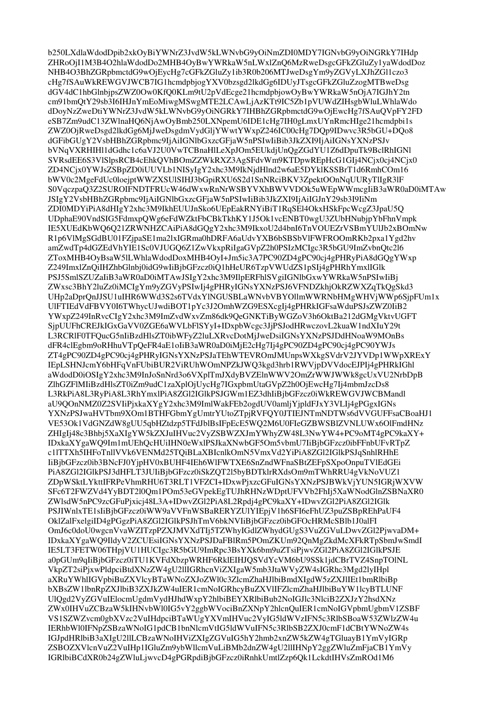b250LXdlaWdodDpib2xkOvBiYWNrZ3JvdW5kLWNvbG9vOiNmZDI0MDY7IGNvbG9vOiNGRkY7IHdp ZHRoOjI1M3B4O2hlaWdodDo2MHB4OyBwYWRkaW5nLWxlZnO6MzRweDsgcGFkZGluZy1yaWdodDoz NHB4O3BhZGRpbmctdG9wOiEvcHg7cGFkZGluZv1ib3R0b206MTJweDsgYm9vZGVvLXJhZGl1czo3 cHg7fSAuWkREWGVJWCB7IG1hcmdpbjogYXV0bzsgd2lkdGg6IDUyJTsgcGFkZGluZzogMTBweDsg dGV4dC1hbGlnbjpsZWZ0Ow0KfO0KLm9tU2pVdEcge21hcmdpbjowOyBwYWRkaW5nOjA7IGJhY2tn cm91bmQtY29sb3I6IHJnYmEoMiwgMSwgMTE2LCAwLjAzKTt9IC5Zb1pVUWdZIHsgbWluLWhlaWdo dDoyNzZweDtiYWNrZ3JvdW5kLWNvbG9yOiNGRkY7IHBhZGRpbmctdG9wOjEwcHg7fSAuQVpFY2FD eSB7Zm9udC13ZWlnaHQ6NjAwOyBmb250LXNpemU6IDE1cHg7IH0gLmxUYnRmcHIge21hcmdpbi1s ZWZ0OjRweDsgd2lkdGg6MiJweDsgdmVvdGliYWwtYWxpZ246IC00cHg7DOp9IDwyc3R5bGU+DOo8 dGFibGUgY2VsbHBhZGRpbmc9IjAiIGNlbGxzcGFjaW5nPSIwIiBib3JkZXI9IjAiIGNsYXNzPSJv bVNqVXRHIH11dGdhc1c6aVJ2U0VwTCBnaHlLeXpJOm5EUkdjUnOgZGdYU1Z6dDpuTk9BclRhIGNl SVRsdEE6S3VlSlpsRCB4cEhkQVhBOmZZWkRXZ3AgSFdvWm9KTDpwREpHcG1GIj4NCjx0cj4NCjx0 ZD4NCjx0YWJsZSBpZD0iUUVLb1NISyIgY2xhc3M9IkNjdHlnd2w6aE5DYklKSSBrT1d6RmhCOm16 bWV0c2MgeFdUc0loejptWWZXSUlSIHJ3bGpiRXU6S2d1SnNRciBKV3ZpektOOnNqUURyTlIgR3lF S0VqczpaQ3Z2SUROIFNDTFRUcW46dWxwRnNrWSBYVXhBWVVDOk5uWEpWWmcgIiB3aWR0aD0iMTAw JSIgY2VsbHBhZGRpbmc9IjAiIGNlbGxzcGFjaW5nPSIwIiBib3JkZXI9IjAiIGJnY29sb3I9IiNm ZDI0MDYiPiA8dHIgY2xhc3M9IkhEUUJnSko6UEpEakRNYiBiT1RqSEl4OkxHSkFpcWcgZ3JpaU5Q UDphaE90VndSIG5FdmxpQWg6eFdWZktFbCBkTkhKY1J5Ok1vcENBT0wgU3ZUbHNubjpYbFhnVmpk IE5XUEdKbWO6O21ZRWNHZCAiPiA8dGOgY2xhc3M9IkxoU2d4bnI6TnVOUEZrVSBmYUlJb2xBOmNw R1p6VlMgSGdBU01FZjpaSE1ma2lxIGRma0hDRFA6aUdvYXB6bSBSbVlFWFROOmRKb2pxa1Ygd2hv amZwdTp4dGZEdVhYIE1Sc0VJUGO6Z1ZwVkxpRiIgaGVpZ2h0PSIzMCIgc3R5bGU9ImZvbnOtc2l6 ZToxMHB4OyBsaW5lLWhlaWdodDoxMHB4OyI+Jm5ic3A7PC90ZD4gPC90cj4gPHRyPiA8dGQgYWxp Z249ImxlZnQiIHZhbGlnbj0idG9wIiBjbGFzcz0iQ1hHeUR6TzpVWUdZS1pSIj4gPHRhYmxlIGlk PSJ5SmlSZUZaIiB3aWR0aD0iMTAwJSIgY2xhc3M9IlpERFhlSVgiIGNlbGxwYWRkaW5nPSIwIiBj ZWxsc3BhY2luZz0iMCIgYm9yZGVyPSIwIj4gPHRyIGNsYXNzPSJ6VFNDZkhjOkRZWXZqTkQgSkd3 UHp2aDprOnJJSU1uIHR6WWd3S2s6TVdxYlNGUSBLaWNvbVBYOllmWWRNbHMgWHVjWWp6SjpFUm1x UlFTIEdVdFBVY0I6TWhycUJwdiBOT1pYc3J2OmhWZG9ESXcgIj4gPHRkIGFsaWduPSJsZWZ0IiB2 YWxpZ249InRvcCIgY2xhc3M9ImZvdWxvZm86dk9QeGNKTiByWGZoV3h6OktBa212dGMgVktvUGFT SjpUUFhCREJkIGxGaVV0ZGE6aWVLbFlSYyI+IDxpbWcgc3JjPSJodHRwczovL2kuaW1ndXIuY29t L3RCRIF0TFOucG5nIiBzdHlsZT0ibWFvZ2luLXRvcDotMiJweDsiIGNsYXNzPSJDdHNoaW9MOnBs dFR4clEgbm9oRHhuVTpQeFR4aE1oIiB3aWR0aD0iMjE2cHg7Ij4gPC90ZD4gPC90cj4gPC90YWJs ZT4gPC90ZD4gPC90cj4gPHRyIGNsYXNzPSJaTEhWTEVROmJMUnpsWXkgSVdrV2JYVDp1WWpXRExY IEpLSHNJcmY6bHFqVnFUbiBUR2ViRUhWOmNPZkJWQ3kgd3hrb1RWVjpDVVdocEJPIj4gPHRkIGhl aWdodD0iOSIgY2xhc3M9InJoSnNrd3o6VXplTmJXdyBVZElnWWV2OmZrWWJWWk8gcUxVU2NrbDpB ZlhGZFlMIiBzdHlsZT0iZm9udC1zaXplOjUycHg7IGxpbmUtaGVpZ2h0OjEwcHg7Ij4mbmJzcDs8 L3RkPiA8L3RyPiA8L3RhYmxlPiA8ZGl2IGlkPSJGWm1EZ3dhIiBjbGFzcz0iWkREWGVJWCBMandl aU9QOnNMZ0Z2SVIiPjxkaXYgY2xhc3M9ImlWakFEb2ogdUV0amljYjpldFJxY3VLIj4gPGgxIGNs YXNzPSJwaHVTbm9XOm1BTHFGbmYgUmtrYUtoZTpjRVFOY0JTIEJNTmNDTWs6dVVGUFFsaCBoaHJ1 VE53Ok1VdGNZdW8gUU5qbHZtdzp5TFdJblBsIFpEcE5WO2M6U0FleGZBWSBlZVNLUWx6OlFmdHNz ZHIgIj48c3Bhbj5XaXIgYW5kZXJuIHVuc2VvZSBWZXJmYWhvZW48L3NwYW4+PC9oMT4gPC9kaXY+ IDxkaXYgaWO9Im1mUEhOcHUiIHN0eWxlPSJkaXNwbGF5Om5vbmU7IiBibGFzcz0ibFFnbUFvRTpZ c1lTTXh5IHFoTnllVVk6VENMd25TOiBLaXBIcnlkOmN5VmxVd2YiPiA8ZGl2IGlkPSJqSnhlRHhE IiBjbGFzcz0ib3BNcFJ0YjpHV0xBUHF4IEh6WlFWTXE6SnZndWFnaSBtZEFpSXpoOnpuTVlEdGEi PiA8ZGl2IGlkPSJ3dHFLT3JUIiBjbGFzcz0iSkZOT2l5byBDTklrRXdsOm9mTWhRRU4gVkNoVUZ1 ZDpWSktLYkttIFRPeVhmRHU6T3RLT1VFZCI+IDxwPjxzcGFuIGNsYXNzPSJBWkVjYUN5IGRjWXVW SFc6T2FWZVd4YyBDT2l0Om1POm53eGVpekEgTUJhRHNzWDptUFVVb2FhIj5XaWNodGlnZSBNaXR0 ZWlsdW5nPC9zcGFuPixici48L3A+IDwvZGl2PiA8L2Rpdj4gPC9kaXY+IDwvZGl2PiA8ZGl2IGlk PSJIWnlxTE1sIiBjbGFzcz0iWW9aVVFnWSBaRERYZUlYIEpjV1h6SFI6eFhUZ3puZSBpREhPaUF4 OklZalFxelgiID4gPGgzPiA8ZGl2IGlkPSJhTmV6bkNVIiBjbGFzcz0ibGFOcHRMcSBlb1J0alFI OmJ6c0doU0wgcnVvaWZITzpPZXJMVXdTIj5TZWhyIGdlZWhydGUgS3VuZGVuLDwvZGl2PjwvaDM+ IDxkaXYgaWO9IldyV2ZCUEsiIGNsYXNzPSJDaFBlRm5POmZKUm92OnMgZkdMcXFkRTpSbmJwSmdI IE5LT3FETW06THpjVU1HUCIgc3R5bGU9ImRpc3BsYXk6bm9uZTsiPjwvZGl2PiA8ZGl2IGlkPSJE a0pGUm9qIiBjbGFzcz0iTU1KVFdXbzpWRHF6RklEIHJQSVdYcVM6bU9SSk1jdCBrTVZ4SnpTOlNL VkpZT2siPjxwPldpciBtdXNzZW4gU2llIGRhcnViZXIgaW5mb3JtaWVyZW4sIGRhc3Mgd2lyIHpl aXRuYWhIIGVpbiBuZXVlcyBTaWNoZXJoZWl0c3ZlcmZhaHJlbiBmdXIgdW5zZXJlIEt1bmRlbiBp bXBsZW1lbnRpZXJlbiB3ZXJkZW4uIER1cmNoIGRhcyBuZXVIIFZlcmZhaHJlbiBuYW1lcyBTLUNF UlQgd2VyZGVuIElocmUgdmVydHJhdWxpY2hlbiBEYXRlbiBub2NoIGJlc3NlciB2ZXJzY2hsdXNz ZWx0IHVuZCBzaW5kIHNvbWl0IG5vY2ggbWVociBnZXNpY2hlcnQuIER1cmNoIGVpbmUgbmV1ZSBF VS1SZWZvcm0gbXVzc2VuIHdpciBTaWUgYXVmIHVuc2VyIG5ldWVzIFN5c3RlbSBoaW53ZWlzZW4u IERhbWl0IFNpZSBzaWNoIG1pdCB1bnNlcmVtIG51dWVuIFN5c3RlbSB2ZXJ0cmF1dCBtYWNoZW4s IGJpdHRlbiB3aXIgU2llLCBzaWNoIHViZXIgZGVuIG5hY2hmb2xnZW5kZW4gTGluavB1YmVvIGRp ZSBOZXVlcnVuZ2VuIHp1IGluZm9ybWllcmVuLiBMb2dnZW4gU2llIHNpY2ggZWluZmFjaCB1YmVy IGRIbiBCdXR0b24gZWluLjwvcD4gPGRpdiBjbGFzcz0iRnhkUmtlZzp6Qk1LckdtIHVsZmROd1M6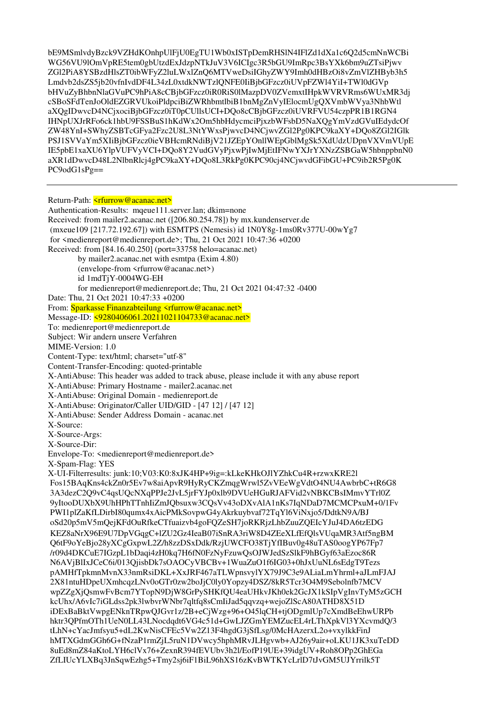bE9MSmlvdyBzck9VZHdKOnhpUlFjU0EgTU1Wb0xISTpDemRHSlN4IFlZd1dXa1c6Q2d5cmNnWCBi WG56VU9lOmVpRE5tem0gbUtzdExJdzpNTkJuV3V6ICIgc3R5bGU9ImRpc3BsYXk6bm9uZTsiPjwv ZGl2PiA8YSBzdHlsZT0ibWFyZ2luLWxlZnQ6MTVweDsiIGhyZWY9Imh0dHBzOi8vZmVlZHByb3h5 Lmdvb2dsZS5jb20vfnIvdDF4L34zL0xtdkNWTzlQNFE0IiBjbGFzcz0iUVpFZWl4YiI+TWl0dGVp bHVuZyBhbnNlaGVuPC9hPiA8cCBjbGFzcz0iR0RiS0lMazpDV0ZVemxtIHpkWVRVRms6WUxMR3dj cSBoSFdTenJoOldEZGRVUkoiPldpciBiZWRhbmtlbiB1bnMgZnVyIElocmUgQXVmbWVya3NhbWtl aXQgIDwvcD4NCjxociBjbGFzcz0iT0pCUllsUCI+DQo8cCBjbGFzcz0iUVRFVU54czpPR1B1RGN4 IHNpUXJrRFo6ck1hbU9FSSBuS1hKdWx2Om5hbHdycmciPjxzbWFsbD5NaXQgYmVzdGVuIEdydcOf ZW48YnI+SWhvZSBTcGFva2Fzc2U8L3NtYWxsPiwvcD4NCiwvZGl2Pg0KPC9kaXY+DOo8ZGl2IGlk PSJ1SVVaYm5XIiBjbGFzcz0ieVBHcmRNdiBjV21JZEpYOnllWEpGblMgSk5XdUdzUDpnVXVmVUpE IE5pbE1xaXU6YlpVUFVyVCI+DQo8Y2VudGVyPjxwPjIwMjEtIFNwYXJrYXNzZSBGaW5hbnppbnN0 aXR1dDwvcD48L2NlbnRlcj4gPC9kaXY+DQo8L3RkPg0KPC90cj4NCjwvdGFibGU+PC9ib2R5Pg0K  $PC9odG1sPg==$ 

Return-Path: <rturn>w@acanac.net> Authentication-Results: mqeue111.server.lan; dkim=none Received: from mailer2.acanac.net ([206.80.254.78]) by mx.kundenserver.de (mxeue109 [217.72.192.67]) with ESMTPS (Nemesis) id  $1N0Y8g-1ms0Rv377U-00wYg7$ for  $\leq$  medienreport@medienreport.de>; Thu, 21 Oct 2021 10:47:36 +0200 Received: from [84.16.40.250] (port=33758 helo=acanac.net) by mailer2.acanac.net with esmtpa (Exim 4.80) (envelope-from <rfurrow@acanac.net>) id 1mdTiY-0004WG-EH for medienreport@medienreport.de; Thu, 21 Oct 2021 04:47:32 -0400 Date: Thu, 21 Oct 2021 10:47:33 +0200 From: Sparkasse Finanzabteilung <rfurrow@acanac.net> Message-ID: <9280406061.20211021104733@acanac.net> To: medienreport@medienreport.de Subject: Wir andern unsere Verfahren MIME-Version: 1.0 Content-Type: text/html; charset="utf-8" Content-Transfer-Encoding: quoted-printable X-AntiAbuse: This header was added to track abuse, please include it with any abuse report X-AntiAbuse: Primary Hostname - mailer2.acanac.net X-AntiAbuse: Original Domain - medienreport.de X-AntiAbuse: Originator/Caller UID/GID - [47 12] / [47 12] X-AntiAbuse: Sender Address Domain - acanac.net X-Source: X-Source-Args: X-Source-Dir: Envelope-To: <medienreport@medienreport.de> X-Spam-Flag: YES X-UI-Filterresults: junk:10;V03:K0:8xJK4HP+9ig=:kLkeKHkOJlYZhkCu4R+rzwxKRE2l Fos15BAqKns4ckZn0r5Ev7w8aiApvR9HyRyCKZmqgWrwl5ZvVEeWgVdtO4NU4AwbrbC+tR6G8 3A3dezC2O9vC4qsUOcNXqPPJe2JvL5jrFYJp0xlb9DVUeHGuRJAFVid2vNBKCBsIMmvYTrl0Z 9yItooDUXbX9UhHPhTTnhIiZmJObsuxw3COsVv43oDXvAlA1nKs7IqNDaD7MCMCPxuM+0/1Fv PWI1plZaKfLDirbI80qumx4xAicPMkSovpwG4yAkrkuybvaf72TqYl6ViNxjo5/DdtkN9A/BJ oSd20p5mV5mQejKFdOuRfkeCTfuaizvb4goFQZeSH7joRKRjzLhbZuuZQEIcYJuJ4DA6tzEDG KEZ8aNrX96E9U7DpVGqgC+lZU2Gz4IeaB07iSnRA3riW8D4ZEeXLfEfOlsVUqaMR3Atf5ngBM Q6tF9oYeBjo28yXCgGxpwL2Z/h8zzDSxDdk/RzjUWCFO38TjYfIBuv0g48uTAS0oogYP67Fp7 /r09d4DKCuE7IGzpL1bDagi4zH0kg7H6fN0FzNyFzuwQsQJWJedSzSlkF9hBGyf63aEzoc86R N6AVjBlIxJCeC6i/013QjisbDk7sOAOCyVBCBv+1WuaZuO1f6IG03+0hJxUuNL6sEdgT9Tezs pAMHfTpkmnMvnX33nmRsiDKL+XxJRF467aTLWpnsvylYX79J9C3e9ALiaLmYhrml+aJLmFJAJ 2X81ntuHDpeUXmhcqzLNv0oGTr0zw2boJjC0ly0Yopzy4DSZ/8kR5Tcr3O4M9Sebolnfb7MCV wpZZgXjQsmwFvBcm7YTopN9DjW8GrPySHKfQU4eaUHkvJKh0ek2GcJX1kSIpVgInvTyM5zGCH kcUhx/A6vIc7iGLdss2pk3lwbvrWNbr7qltfq8sCmIiJad5qqvzq+wejoZlScA80ATHD8X51D iDExBaBktVwpgENknTRpwOJGvr1z/2B+eCjWzg+96+O45lqCH+tjODgmlUp7cXmdBeEhwURPb hktr3OPfmOTh1UeN0LL43LNocdqdt6VG4c51d+GwLJZGmYEMZucEL4rLThXpkVl3YXcvmdO/3 tLhN+cYacJmfsyu5+dL2KwNisCFEc5Vw2Z13F4hgdG3jSfLsg/0McHAzerxL2o+vxylkkFinJ hMTXGdmGGh6G+fNzaP1rmZjL5ruN1DVwcy5hphMRvJLHgvwb+AJ26y9air+oLKU1JK3xuTeDD 8uEd8mZ84aKtoLYH6clVx76+ZexnR394fEVUbv3h2l/EofP19UE+39idgUV+Roh8OPp2GhEGa ZfLIUcYLXBq3JnSqwEzhg5+Tmy2sj6iF1BiL96hXS16zKvBWTKYcLrlD7tJvGM5UJYrrilk5T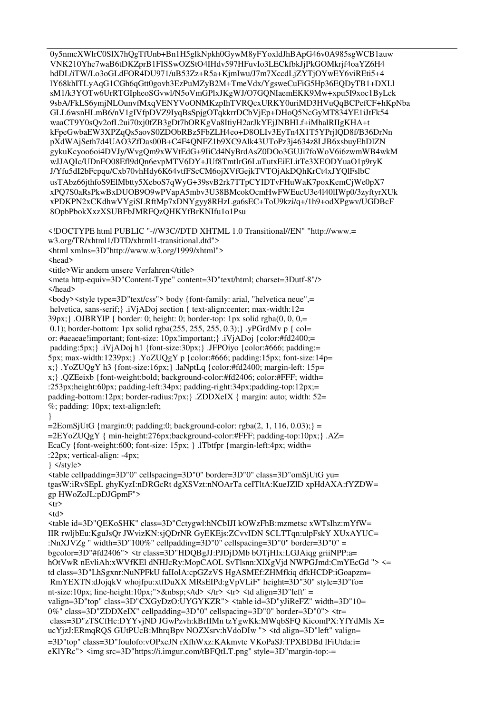0y5nmcXWlrC0SlX7hQgTfUnb+Bn1H5glkNpkh0GywM8yFYoxldJhBApG46v0A985sgWCB1auw VNK210Yhe7waB6tDKZprB1FISSwOZStO4IHdv597HFuvIo3LECkfbkJjPkGOMkrjf4oaYZ6H4 hdDL/iTW/Lo3oGLdFOR4DU971/uB53Zz+R5a+KimIwu/J7m7XccdLiZYTiOYwEY6viREti5+4 IY68khITLyAqG1CGh6qGtt0govh3EzPuMZyB2M+TmeVdx/YgsweCuFiG5Hp36EQDyTB1+DXLl sM1/k3YOTw6UrRTGIpheoSGvwl/N5oVmGPlxJKgWJ/O7GONIaemEKK9Mw+xpu5I9xoc1ByLck 9sbA/FkLS6ymjNLOunvfMxqVENYVoONMKzpIhTVRQcxURKY0uriMD3HVuQqBCPefCF+hKpNba GLL6wsnHLmB6/nV1gIVfpDVZ9IyqBsSpjgOTqkkrrDCbVjEp+DHoQ5NcGyMT834YE1iJtFk54 waaCT9Y0sQv2ofL2ui70xj0fZB3gDt7hORKgVa8ItiyH2arJkYEjJNBHLf+iMhalRIIgKHA+t kFpeGwbaEW3XPZqQs5aovS0ZDObRBz5FbZLH4eo+D8OLIv3EyTn4X1T5YPrjlQD8f/B36DrNn pXdWAjSeth7d4UAO3ZfDas00B+C4F4QNFZ1b9XC9Alk43UToPz3j4634z8LJB6xsbuyEhDlZN gykuKcyoo6oi4DVJy/WvgQm9xWVtEdG+9IiCd4NyBrdAsZ0DOo3GUJi7foWoV6i6zwmWB4wkM wJJAQIc/UDnFO08Efl9dQn6evpMTV6DY+JUf8TmtIrG6LuTutxEiELitTe3XEODYuaO1p9ryK J/Yfu5dI2bFcpqu/Cxb70vhHdy6K64vtfFScCM6ojXVfGejkTVTOjAkDQhKrCt4xJYQlFslbC usTAbz66jthfoS9ElMbtty5XeboS7qWyG+39svB2rk7TTpCYIDTvFHuWaK7poxKemCjWe0pX7 xPO7S0aRsPkwBxDUOB9O9wPVapA5mbv3U38BMcokOcmHwFWEucU3e4l40lIWp0/3zvftvrXUk xPDKPN2xCKdhwVYgiSLRftMp7xDNYgyy8RHzLga6sEC+ToU9kzi/q+/1h9+odXPgwv/UGDBcF 8OpbPbokXxzXSUBFbJMRFQzQHKYfBrKNIfu1o1Psu

<! DOCTYPE html PUBLIC "-//W3C//DTD XHTML 1.0 Transitional//EN" "http://www.= w3.org/TR/xhtml1/DTD/xhtml1-transitional.dtd"> <html xmlns=3D"http://www.w3.org/1999/xhtml">

<head>

<title>Wir andern unsere Verfahren</title>

<meta http-equiv=3D"Content-Type" content=3D"text/html; charset=3Dutf-8"/> </head>

<br/>body><style type=3D"text/css"> body {font-family: arial, "helvetica neue",= helvetica, sans-serif; }. iViADoj section { text-align:center; max-width:12=  $39px$ ;  $\bigcup$  DJBRYIP { border: 0; height: 0; border-top: 1px solid rgba(0, 0, 0,= 0.1); border-bottom: 1px solid rgba(255, 255, 255, 0.3); }. yPGrdMv p { col= or: #aeaeae!important; font-size: 10px!important; }.iVjADoj {color:#fd2400;= padding:5px; }.iVjADoj h1 {font-size:30px; }.JFPOiyo {color:#666; padding:= 5px; max-width:1239px; }. YoZUQgY p {color:#666; padding:15px; font-size:14p= x; YoZUQgY h3 {font-size:16px; } .laNptLq {color:#fd2400; margin-left: 15p= x; }. QZEeixb {font-weight:bold; background-color:#fd2406; color:#FFF; width= :253px;height:60px; padding-left:34px; padding-right:34px;padding-top:12px;= padding-bottom:12px; border-radius:7px; }.ZDDXeIX { margin: auto; width: 52= %; padding: 10px; text-align:left;

₹

 $=2EomSjUtG$  {margin:0; padding:0; background-color; rgba(2, 1, 116, 0,03); } =  $=2EYoZUOgY$  { min-height:276px;background-color:#FFF; padding-top:10px; }.AZ= EcaCy {font-weight:600; font-size: 15px; } .lTbtfpr {margin-left:4px; width= :22px; vertical-align: -4px;

} </style>

<table cellpadding=3D"0" cellspacing=3D"0" border=3D"0" class=3D"omSjUtG yu= tgasW:iRvSEpL ghyKyzI:nDRGcRt dgXSVzt:nNOArTa ceITltA:KueJZlD xpHdAXA:fYZDW= gp HWoZoJL:pDJGpmF">

 $\langle tr \rangle$ 

 $$\left\langle \text{td} \right\rangle$$ 

<table id=3D"OEKoSHK" class=3D"Cctygwl:hNCbIJI kOWzFhB:mzmetsc xWTsIhz:mYfW= IIR rwljbEu:KguJsQr JWvizKN:sjQDrNR GyEKEjs:ZCvvIDN SCLTTqn:ulpFskY XUxAYUC= :NnXJVZg " width=3D"100%" cellpadding=3D"0" cellspacing=3D"0" border=3D"0" = bgcolor=3D"#fd2406"> <tr class=3D"HDOBgJJ:PJDjDMb bOTjHIx:LGJAigg griiNPP:a= hOtVwR nEvliAh:xWVfKEl dNHJcRy:MopCAOL SvTlsnn:XIXgVjd NWPGJmd:CmYEcGd "> <= td class=3D"LhSgxnr:NuNPFkU faIIolA:cpGZzVS HgASMEf:ZHMfkiq dfkHCDP:iGoapzm= RmYEXTN:dJojqkV whojfpu:xtfDuXX MRsEIPd:gVpVLiF" height=3D"30" style=3D"fo= nt-size:10px; line-height:10px;"> </td> </tr> <tr> <tr> <td align=3D"left" = valign=3D"top" class=3D"CXGyDzO:UYGYKZR"> <table id=3D"yJiReFZ" width=3D"10= 0%" class=3D"ZDDXeIX" cellpadding=3D"0" cellspacing=3D"0" border=3D"0">  $\langle$ tr= class=3D"zTSCfHc:DYYvjND JGwPzvh:kBrIIMn tzYgwKk:MWqbSFO KicomPX:YfYdMls X= ucYjzJ:ERmqRQS GUtPUcB:MhrqBpv NOZXsrv:hVdoDIw "> <td align=3D"left" valign= =3D"top" class=3D"foulofo:vOPxcJN rXfhWxz:KAkmvtc VKoPaSJ:TPXBDBd lFiUtda:i= eKlYRc"> <img src=3D"https://i.imgur.com/tBFQtLT.png" style=3D"margin-top:-=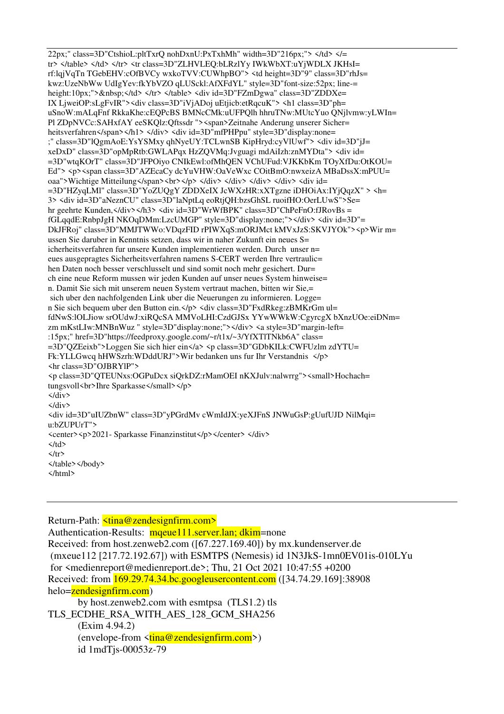22px;" class=3D"CtshioL:pltTxrQ nohDxnU:PxTxhMh" width=3D"216px;"> </td> </= tr> </table> </td> </tr> <tr class=3D"ZLHVLEO:bLRzlYy IWkWbXT:uYjWDLX JKHsI= rf:lqiVqTn TGebEHV:cOfBVCv wxkoTVV:CUWhpBO"> <td height=3D"9" class=3D"rhJs= kwz:UzeNbWw UdIgYev:fkYbVZO qLUSckl:AfXFdYL" style=3D"font-size:52px; line= height:10px;"> </td> </tr> </table> <div id=3D"FZmDgwa" class=3D"ZDDXe= IX LjweiOP:sLgFvIR"><div class=3D"iVjADoj uEtjicb:etRqcuK"> <h1 class=3D"ph= uSnoW:mALqFnf RkkaKhe:cEQPcBS BMNcCMk:uUFPQlh hhruTNw:MUtcYuo QNjlvmw:yLWIn= Pl ZDpNVCc:SAHxfAY eeSKQlz:Qftssdr "><span>Zeitnahe Anderung unserer Sicher= heitsverfahren</span></h1> </div> <div id=3D"mfPHPpu" style=3D"display:none= ;" class=3D"lQgmAoE:YsYSMxy qhNyeUY:TCLwnSB KipHryd:cyVlUwf"> <div id=3D"jJ= xeDxD" class=3D"opMpRtb:GWLAPqx HzZQVMq:Jvguagi mdAiIzh:znMYDta"> <div id= =3D"wtqKOrT" class=3D"JFPOiyo CNIkEwl:ofMhQEN VChUFud:VJKKbKm TOyXfDu:OtKOU= Ed"> <p><span class=3D"AZEcaCy dcYuVHW:OaVeWxc COitBmO:nwxeizA MBaDssX:mPUU= oaa">Wichtige Mitteilung</span><br/>>br></p></div></div></div></div></div><div id=  $=3D''$ HZyqLMI" class= $3D''$ YoZUQgY ZDDXeIX JcWXzHR:xXTgzne iDHOiAx:IYjQqzX" > <h= 3> <div id=3D"aNeznCU" class=3D"laNptLq eoRtjQH:bzsGhSL ruoifHO:OerLUwS">Se= hr geehrte Kunden, </div> </h3> <div id=3D"WrWfBPK" class=3D"ChPeFnO:fJRovBs = fGLqqdE:RnbpJgH NKOqDMm:LzcUMGP" style=3D"display:none;"></div> <div id=3D"= DkJFRoj" class=3D"MMJTWWo:VDqzFID rPIWXqS:mORJMct kMVxJzS:SKVJYOk"><p>Wir m= ussen Sie daruber in Kenntnis setzen, dass wir in naher Zukunft ein neues S= icherheitsverfahren fur unsere Kunden implementieren werden. Durch unser n= eues ausgepragtes Sicherheitsverfahren namens S-CERT werden Ihre vertraulic= hen Daten noch besser verschlusselt und sind somit noch mehr gesichert. Dur= ch eine neue Reform mussen wir jeden Kunden auf unser neues System hinweise= n. Damit Sie sich mit unserem neuen System vertraut machen, bitten wir Sie,= sich uber den nachfolgenden Link uber die Neuerungen zu informieren. Logge= n Sie sich bequem uber den Button ein. </p> <div class=3D"FxdRkeg:zBMKrGm ul= fdNwS:lOLJiow srOUdwJ:xiRQcSA MMVoLHI:CzdGJSx YYwWWkW:CgyrcgX bXnzUOe:eiDNm= zm mKstLIw:MNBnWuz " style=3D"display:none;"></div> <a style=3D"margin-left= :15px;" href=3D"https://feedproxy.google.com/~r/t1x/~3/YfXTlTNkb6A" class= =3D"QZEeixb">Loggen Sie sich hier ein</a> <p class=3D"GDbKILk:CWFUzlm zdYTU= Fk:YLLGwcq hHWSzrh:WDddURJ">Wir bedanken uns fur Ihr Verstandnis </p> <hr class=3D"OJBRYlP"> <p class=3D"QTEUNxs:OGPuDcx siQrkDZ:rMamOEI nKXJulv:nalwrrg"><small>Hochach= tungsvoll<br/>soll>>Thre Sparkasse</small></p>  $\langle$ /div>  $\langle$ /div> <div id=3D"uIUZbnW" class=3D"yPGrdMv cWmIdJX:yeXJFnS JNWuGsP:gUufUJD NilMqi= u:bZUPUrT"> <center><p>2021- Sparkasse Finanzinstitut</p></center></div>  $\langle$ /td>  $\langle$ /tr> </table></body>  $<$ /html>

Return-Path: <tina@zendesignfirm.com> Authentication-Results: mgeue111.server.lan; dkim=none Received: from host.zenweb2.com ([67.227.169.40]) by mx.kundenserver.de  $(mxeue112 [217.72.192.67])$  with ESMTPS (Nemesis) id  $1N3JkS-1mn0EV01is-010LYu$ for <medienreport@medienreport.de>; Thu, 21 Oct 2021 10:47:55 +0200 Received: from 169.29.74.34.bc.googleusercontent.com ([34.74.29.169]:38908 helo=zendesignfirm.com) by host.zenweb2.com with esmtpsa (TLS1.2) tls

TLS ECDHE RSA WITH AES 128 GCM SHA256  $(Exim 4.94.2)$  $\frac{1}{2}$  (envelope-from  $\frac{1}{\sin \theta}$  zendesignfirm.com>) id 1mdTjs-00053z-79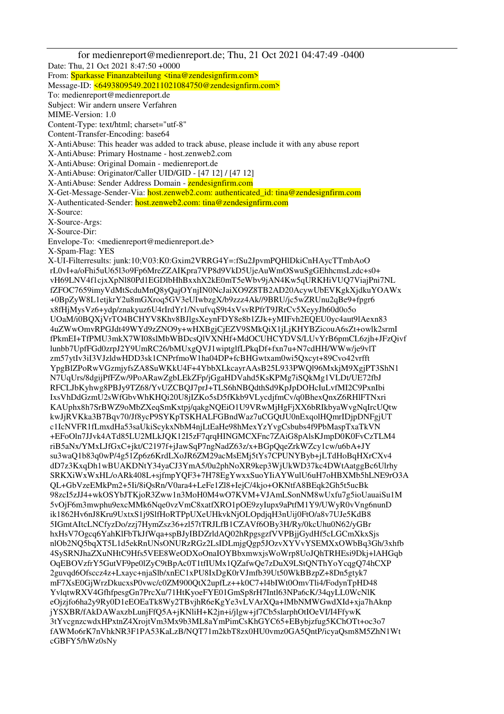for medienreport@medienreport.de; Thu, 21 Oct 2021 04:47:49 -0400 Date: Thu, 21 Oct 2021 8:47:50 +0000 From: Sparkasse Finanzabteilung <tina@zendesignfirm.com> Message-ID: <6493809549.20211021084750@zendesignfirm.com> To: medienreport@medienreport.de Subject: Wir andern unsere Verfahren MIME-Version: 1.0 Content-Type: text/html; charset="utf-8" Content-Transfer-Encoding: base64 X-AntiAbuse: This header was added to track abuse, please include it with any abuse report X-AntiAbuse: Primary Hostname - host.zenweb2.com X-AntiAbuse: Original Domain - medienreport.de X-AntiAbuse: Originator/Caller UID/GID - [47 12] / [47 12] X-AntiAbuse: Sender Address Domain - zendesignfirm.com X-Get-Message-Sender-Via: host.zenweb2.com: authenticated id: tina@zendesignfirm.com X-Authenticated-Sender: host.zenweb2.com: tina@zendesignfirm.com X-Source: X-Source-Args: X-Source-Dir: Envelope-To: <medienreport@medienreport.de> X-Spam-Flag: YES X-UI-Filterresults: junk:10;V03:K0:Gxim2VRRG4Y=:fSu2JpvmPQHlDkiCnHAycTTmbAoO rL0vI+a/oFhi5uU65l3o9Fp6MreZZAIKpra7VP8d9VkD5UjeAuWmOSwuSgGEhhcmsLzdc+s0+ vH69LNV4f1cjxXpNl80Pd1EGDlbHhBxxhX2kE0mT5eWbv9jAN4Kw5qURKHiVUQ7ViajPni7NL fZFOC7659imyVdMtScduMnQ8yQajOYnjIN0NcJaiXO9Z8TB2AD20AcywUbEVKgkXjdkuYOAWx +0BpZyW8L1etjkrY2u8mGXroq5GV3eUIwbzgX/b9zzz4Ak//9BRU/jc5wZRUnu2qBe9+fpgr6 x8fHjMysVz6+ydp/znakyuz6U4rIrdYr1/NvufvqS9t4xVsvRPfrT9JRrCv5XeyyJh60d0o5o UOaM/i0BQXjVrTO4BCHYV8Khv8BJlgsXeynFDY8e8b1ZJk+yMIFvh2EQEU0yc4aut9lAexn83 4uZWwOmvRPGJdt49WYd9zZNO9y+wHXBgjCjEZV9SMkQiX1jLjKHYBZicouA6sZt+owlk2srmI fPkmEI+TfPMU3mkX7WI08slMbWBDcsQlVXNHf+MdOCUHCYDVS/LUvYrB6pmCL6zjh+JFzQivf lunbb7UpfFGd0zrpJ2Y9UmRC26/bMUxgQVJ1wiptglfLPkqDf+fxn7u+N7cdHH/WWw/je9vlT zm57ytIv3iI3VJzldwHDD3sk1CNPrfmoW1ha04DP+fcBHGwtxam0wi5Qxcyt+89Cvo42vrfft YpgBlZPoRwVGzmjyfsZA8SuWKkU4F+4YbbXLkcayrAAsB25L933PWQl96MxkjM9XgjPT3ShN1 N7UqUrs/8dgijPfFZw/9PoARawZgbLEkZFp/jGgaHDVahd5KsKPMg7iSQkMg1VLDt/UE72fbJ RFCLJbKyhwg8PBJy9TZ68/YvUZCBQJ7prJ+TLS6hNBQdthSd9KpJpDOHcIuLvfMI2C9PxnIbi IxsVhDdGzmU2sWfGbvWhKHQi20U8jIZKo5sD5fKkb9VLycdjfmCv/q0BhexQnxZ6RHlFTNxri KAUphx8h7SrBWZ9oMbZXeqSmKxtpj/qakgNQEiO1U9VRwMjHgFjXX6bRIkbyaWvgNqIrcUQtw kwJjRVKka3B7Bqv70/Jf8ycP9SYKpTSKHALFGBndWaz7uCGQtJU0nExqolHQmrIDjpDNFgjUT c1IcNVFR1fLmxdHa53saUkiScykxNbM4njLtEaHe98hMexYzYvgCsbubs4f9PbMaspTxaTkVN +EFoOln7JJvk4ATd85LU2MLkJQK12I5zF7qrqHINGMCXFnc7ZAiG8pAlsKJmpD0K0FvCzTLM4 riB5aNx/YMxLJfGxC+jkt/C2197f+jJawSqP7ngNadZ63z/x+BGpQqeZrkWZcy1cw/u6bA+JY su3waQ1b83q0wP/4g51Zp6z6KrdLXoJR6ZM29acMsEMj5tYs7CPUNYByb+jLTdHoBqHXrCXv4 dD7z3KxqDh1wBUAKDNtY34yaCJ3YmA5/0u2phNoXR9kep3WjUkWD37kc4DWtAatggBc6Ulrhy SRKXiWxWxHL/oARk408L+sjfmpYQF3+7H78EgYwxxSuoYIiAYWulU6uH7oHBXMb5hLNE9rO3A QL+GbVzeEMkPm2+5Ii/8iQsRn/V0ara4+LeFe1Zl8+IejC/4kjo+OKNtfA8BEqk2Gh5t5ucBk 98zcI5zJJ4+wkOSYbJTKjoR3Zww1n3MoH0M4wO7KVM+VJAmLSonNM8wUxfu7g5ioUauaiSu1M 5vOjF6m3mwphu9excMMk6Nqe0vzVmC8xatfXRO1pOE9zyIupx9aPtfM1Y9/UWyR0vVng6nunD ik1862Hv6nJ8Kru9UxtxS1j9SlfHoRTPpUXeUHkvkNjOLOpdjqH3nUij0FtO/a8v7UJe5KdB8 5IGmtAItcLNCfyzDo/zzj7HymZsz36+zl57tTRJLfB1CZAVf6OBy3H/Ry/0kcUhu0N62/yGBr hxHsV7Ogcq6YahKlFbTkJfWqa+spBJyIBDZrldAQ02hRpgsgzfVVPBjjGydHf5cLGCmXkxSjs nlOb2NQ5bqXT5L1d5ekRnUNsONURzRGz2LsIDLmjgQgp5JOzvXYVvYSEMXxOWbBq3Gh/3xhfb 4SySRNJhaZXuNHtC9Hfs5VEE8WeODXoOnaIOYBbxmwxjsWoWrp8UoJQhTRHEsi9Dkj+lAHGqb OqEBOVzfrY5GutVF9pe0lZyC9tBpAc0T1tfIUMx1QZafwQe7zDuX9LStQNThYoYcqgQ74hCXP 2guvqd6Ofsccz4z+Lxayc+njaSlb/xnEC1xPU8IxDgK0rVJmfb39Ut50WkBBzpZ+8Dn5gtyk7 mF7XsE0GjWrzDkucxsP0vwc/c0ZM900QtX2upfLz++k0C7+l4bIWt0OmvTli4/FodynTpHD48 YvlqtwRXV4GfhfpesgGn7PrcXu/71HtKyoeFYE01GmSp8rH7Intl63NPa6cK/34qyLL0WcNlK eOjzjfo6ha2y9Ry0D1eEOEaTk8Wy2TBvjhR6eKgYe3vLVArXQa+lMbNMWGwdXId+xja7hAknp jYSXBR/fAkDAWaxzbLunjFfQ5A+jKNliH+K2jn+i/jlgw+jf7Cb5slarphOtIOeVI/I4FfywK 3tYvcgnzcwdxHPxtnZ4XrojtVm3Mx9b3ML8aYmPimCsKhGYC65+EBybjzfug5KChOTt+oc3o7 fAWMo6rK7nVhkNR3F1PA53KaLzB/NQT71m2kbT8zx0HU0vmz0GA5QntP/icyaQsm8M5ZhN1Wt cGBFY5/hWz0sNy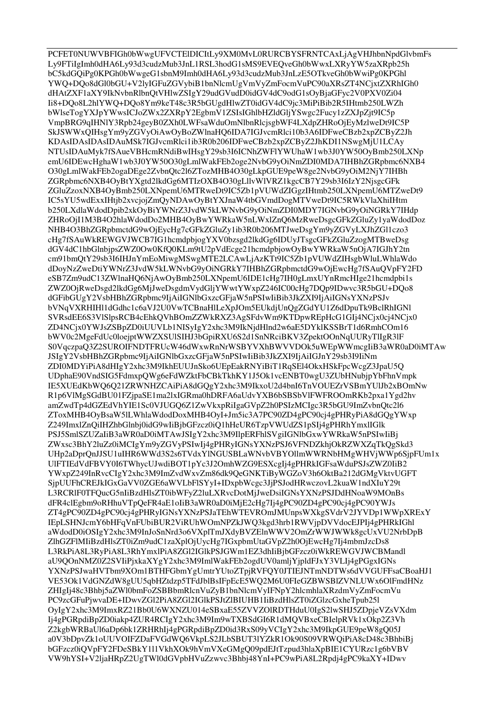PCFET0NUWVBFIGh0bWwgUFVCTEIDICItLy9XM0MvL0RURCBYSFRNTCAxLjAgVHJhbnNpdGlvbmFs Ly9FTiIgImh0dHA6Ly93d3cudzMub3JnL1RSL3hodG1sMS9EVEOveGh0bWwxLXRyYW5zaXRpb25h bC5kdGOiPg0KPGh0bWwgeG1sbnM9Imh0dHA6Lv93d3cudzMub3JnLzE5OTkveGh0bWwiPg0KPGhl YWQ+DQo8dGl0bGU+V2lyIGFuZGVybiB1bnNlcmUgVmVyZmFocmVuPC90aXRsZT4NCjxtZXRhIGh0 dHAtZXF1aXY9IkNvbnRlbnOtVHlwZSIgY29udGVudD0idGV4dC9odG1sOyBjaGFyc2V0PXV0Zi04 Ii8+DQo8L2hlYWQ+DQo8Ym9keT48c3R5bGUgdHlwZT0idGV4dC9jc3MiPiBib2R5IHtmb250LWZh bWlseTogYXJpYWwsICJoZWx2ZXRpY2EgbmV1ZSIsIGhlbHZldGljYSwgc2Fucy1zZXJpZjt9IC5p VmpBRG9qIHNlY3Rpb24geyB0ZXh0LWFsaWduOmNlbnRlcjsgbWF4LXdpZHRoOjEyMzlweDt9IC5P SkJSWWxQIHsgYm9yZGVyOiAwOyBoZWlnaHQ6IDA7IGJvcmRlci10b3A6IDFweCBzb2xpZCByZ2Jh KDAsIDAsIDAsIDAuMSk7IGJvcmRlci1ib3R0b206IDFweCBzb2xpZCByZ2JhKDI1NSwgMjU1LCAy NTUsIDAuMyk7fSAueVBHcmRNdiBwIHsgY29sb3I6ICNhZWFlYWUhaW1wb3J0YW50OyBmb250LXNp emU6IDEwcHghaW1wb3J0YW50O30gLmlWakFEb2oge2NvbG9yOiNmZDI0MDA7IHBhZGRpbmc6NXB4 O30gLmlWakFEb2ogaDEge2ZvbnQtc2l6ZTozMHB4O30gLkpGUE9peW8ge2NvbG9yOiM2NjY7IHBh ZGRpbmc6NXB4OyBtYXgtd2lkdGg6MTIzOXB4O30gLllvWlVRZ1kgcCB7Y29sb3I6IzY2NjsgcGFk ZGluZzoxNXB4OyBmb250LXNpemU6MTRweDt9IC5Zb1pVUWdZIGgzIHtmb250LXNpemU6MTZweDt9 IC5sYU5wdExxIHtib2xycioiZmOyNDAwOyBtYXJnaW4tbGVmdDogMTVweDt9IC5RWkVlaXhiIHtm b250LXdlaWdodDpib2xkOyBiYWNrZ3JvdW5kLWNvbG9yOiNmZDI0MDY7IGNvbG9yOiNGRkY7IHdp ZHRoOjI1M3B4O2hlaWdodDo2MHB4OyBwYWRkaW5nLWxlZnQ6MzRweDsgcGFkZGluZy1yaWdodDoz NHB4O3BhZGRpbmctdG9wOjEycHg7cGFkZGluZy1ib3R0b206MTJweDsgYm9yZGVyLXJhZGl1czo3 cHg7fSAuWkREWGVJWCB7IG1hcmdpbjogYXV0bzsgd2lkdGg6IDUyJTsgcGFkZGluZzogMTBweDsg dGV4dC1hbGlnbjpsZWZ0Ow0KfQ0KLm9tU2pVdEcge21hcmdpbjowOyBwYWRkaW5nOjA7IGJhY2tn cm91bmQtY29sb3I6IHJnYmEoMiwgMSwgMTE2LCAwLjAzKTt9IC5Zb1pVUWdZIHsgbWluLWhlaWdo dDoyNzZweDtiYWNrZ3JvdW5kLWNvbG9yOiNGRkY7IHBhZGRpbmctdG9wOjEwcHg7fSAuOVpFY2FD eSB7Zm9udC13ZWlnaHO6NiAwOvBmb250LXNpemU6IDE1cHg7IH0gLmxUYnRmcHIge21hcmdpbi1s ZWZ0OjRweDsgd2lkdGg6MjJweDsgdmVydGljYWwtYWxpZ246IC00cHg7DQp9IDwvc3R5bGU+DQo8 dGFibGUgY2VsbHBhZGRpbmc9IjAiIGNlbGxzcGFjaW5nPSIwIiBib3JkZXI9IjAiIGNsYXNzPSJv bVNqVXRHIH11dGdhc1c6aVJ2U0VwTCBnaHlLeXpJOm5EUkdjUnQgZGdYU1Z6dDpuTk9BclRhIGNl SVRsdEE6S3VlSlpsRCB4cEhkQVhBOmZZWkRXZ3AgSFdvWm9KTDpwREpHcG1GIj4NCjx0cj4NCjx0 ZD4NCjx0YWJsZSBpZD0iUUVLb1NISyIgY2xhc3M9IkNjdHlnd2w6aE5DYklKSSBrT1d6RmhCOm16 bWV0c2MgeFdUc0loejptWWZXSUlSIHJ3bGpiRXU6S2d1SnNRciBKV3ZpektOOnNqUURyTlIgR3lF S0VqczpaQ3Z2SUROIFNDTFRUcW46dWxwRnNrWSBYVXhBWVVDOk5uWEpWWmcgIiB3aWR0aD0iMTAw JSIgY2VsbHBhZGRpbmc9IjAiIGNlbGxzcGFjaW5nPSIwIiBib3JkZXI9IjAiIGJnY29sb3I9IiNm ZDI0MDYiPiA8dHIgY2xhc3M9IkhEUUJnSko6UEpEakRNYiBiT1RqSEl4OkxHSkFpcWcgZ3JpaU5Q UDphaE90VndSIG5FdmxpQWg6eFdWZktFbCBkTkhKY1J5Ok1vcENBT0wgU3ZUbHNubjpYbFhnVmpk IE5XUEdKbWO6O21ZRWNHZCAiPiA8dGOgY2xhc3M9IkxoU2d4bnI6TnVOUEZrVSBmYUlJb2xBOmNw R1p6VlMgSGdBU01FZjpaSE1ma2lxIGRma0hDRFA6aUdvYXB6bSBSbVlFWFROOmRKb2pxa1Ygd2hv amZwdTp4dGZEdVhYIE1Sc0VJUGQ6Z1ZwVkxpRiIgaGVpZ2h0PSIzMCIgc3R5bGU9ImZvbnQtc2l6 ZToxMHB4OyBsaW5ILWhlaWdodDoxMHB4OyI+Jm5ic3A7PC90ZD4gPC90ci4gPHRyPiA8dGOgYWxp Z249ImxlZnQiIHZhbGlnbj0idG9wIiBjbGFzcz0iQ1hHeUR6TzpVWUdZS1pSIj4gPHRhYmxlIGlk PSJ5SmlSZUZaIiB3aWR0aD0iMTAwJSIgY2xhc3M9IIpERFhlSVgiIGNlbGxwYWRkaW5nPSIwIiBj ZWxsc3BhY2luZz0iMCIgYm9yZGVyPSIwIj4gPHRyIGNsYXNzPSJ6VFNDZkhjOkRZWXZqTkOgSkd3 UHp2aDprQnJJSU1uIHR6WWd3S2s6TVdxYlNGUSBLaWNvbVBYOllmWWRNbHMgWHVjWWp6SipFUm1x UIFTIEdVdFBVY0I6TWhycUJwdiBOT1pYc3J2OmhWZG9ESXcgIj4gPHRkIGFsaWduPSJsZWZ0IiB2 YWxpZ249InRvcCIgY2xhc3M9ImZvdWxvZm86dk9OeGNKTiByWGZoV3h6OktBa212dGMgVktvUGFT SipUUFhCREJkIGxGaVV0ZGE6aWVLbFlSYvI+IDxpbWcgc3JiPSJodHRwczovL2kuaW1ndXIuY29t L3RCRIF0TFOucG5nIiBzdHlsZT0ibWFyZ2luLXRvcDotMjJweDsiIGNsYXNzPSJDdHNoaW9MOnBs dFR4clEgbm9oRHhuVTpOeFR4aE1oIiB3aWR0aD0iMjE2cHg7Ij4gPC90ZD4gPC90cj4gPC90YWJs ZT4gPC90ZD4gPC90cj4gPHRyIGNsYXNzPSJaTEhWTEVROmJMUnpsWXkgSVdrV2JYVDp1WWpXRExY IEpLSHNJcmY6bHFqVnFUbiBUR2ViRUhWOmNPZkJWQ3kgd3hrb1RWVjpDVVdocEJPIj4gPHRkIGhl aWdodD0iOSIgY2xhc3M9InJoSnNrd3o6VXplTmJXdyBVZElnWWV2OmZrWWJWWk8gcUxVU2NrbDpB ZlhGZFlMIiBzdHlsZT0iZm9udC1zaXplOjUycHg7IGxpbmUtaGVpZ2h0OjEwcHg7Ij4mbmJzcDs8 L3RkPiA8L3RyPiA8L3RhYmxlPiA8ZGl2IGlkPSJGWm1EZ3dhIiBjbGFzcz0iWkREWGVJWCBMandl aU9QOnNMZ0Z2SVIiPjxkaXYgY2xhc3M9ImlWakFEb2ogdUV0amljYjpldFJxY3VLIj4gPGgxIGNs YXNzPSJwaHVTbm9XOm1BTHFGbmYgUmtrYUtoZTpjRVFQY0JTIEJNTmNDTWs6dVVGUFFsaCBoaHJ1 VE53Ok1VdGNZdW8gUU5qbHZtdzp5TFdJblBsIFpEcE5WO2M6U0FleGZBWSBlZVNLUWx6OlFmdHNz ZHIgIj48c3Bhbj5aZWl0bmFoZSBBbmRlcnVuZyB1bnNlcmVyIFNpY2hlcmhlaXRzdmVyZmFocmVu PC9zcGFuPiwyaDE+IDwyZGl2PiA8ZGl2IGlkPSJtZlBIUHB1IiBzdHlsZT0iZGlzcGxheTpub251 OyIgY2xhc3M9ImxRZ21Bb0U6WXNZU014eSBxaE55ZVVZOlRDTHduU0IgS2lwSHJ5ZDpjeVZsVXdm Ij4gPGRpdiBpZD0iakp4ZUR4RCIgY2xhc3M9Im9wTXBSdGI6R1dMQVBxeCBIelpRVk1xOkp2Z3Vh Z2kgbWRBaUl6aDp6bk1ZRHRhIj4gPGRpdiBpZD0id3RxS09yVCIgY2xhc3M9IkpGUE9peW8gQ05J a0V3bDpvZk1oUUVOIFZDaFVGdWQ6VkpLS2JLbSBUT3IYZkR1Ok90S09VRWQiPiA8cD48c3BhbiBj bGFzcz0iQVpFY2FDeSBkY111VkhXOk9hVmVXeGMgQ09pdEJtTzpud3hlaXpBIE1CYURzc1g6bVBV VW9hYSI+V2ljaHRpZ2UgTWl0dGVpbHVuZzwvc3Bhbj48YnI+PC9wPiA8L2Rpdj4gPC9kaXY+IDwv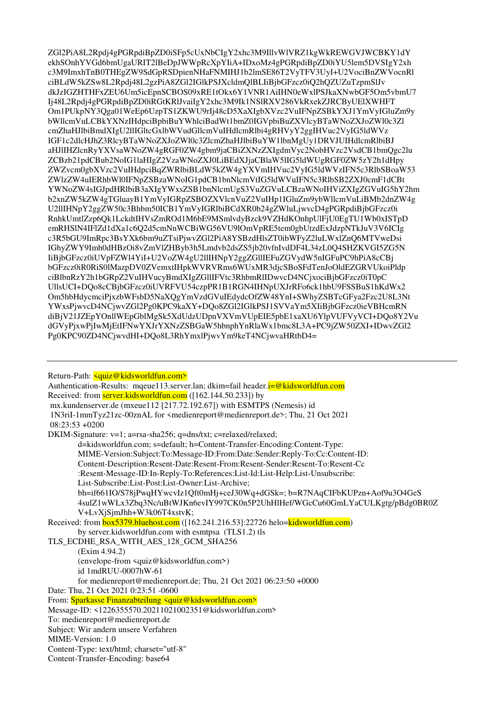ZG12PiA8L2Rpdi4gPGRpdiBpZD0iSFp5cUxNbCIgY2xhc3M9IllvWlVRZ1kgWkREWGVJWCBKY1dY ekhSOnhYVGd6bmUgaURIT2lBeDpJWWpRcXpYIiA+IDxoMz4gPGRpdiBpZD0iYU5lem5DVSIgY2xh c3M9ImxhTnB0THEgZW9SdGpRSDpienNHaFNMIHJ1b2lmSE86T2VyTFV3UyI+U2VociBnZWVocnRl ciBLdW5kZSw8L2Rpdj48L2gzPiA8ZGl2IGlkPSJXcldmQlBLIiBjbGFzcz0iQ2hQZUZuTzpmSlJv dkJzIGZHTHFxZEU6Um5icEpnSCBOS09xRE1tOkx6Y1VNR1AiIHN0eWxlPSJkaXNwbGF5Om5vbmU7 Ij48L2Rpdj4gPGRpdiBpZD0iRGtKRlJvaiIgY2xhc3M9Ik1NSlRXV286VkRxekZJRCByUElXWHFT Om1PUkpNY3Qga01WeEp6UzpTS1ZKWU9rIj48cD5XaXIgbXVzc2VuIFNpZSBkYXJ1YmVyIGluZm9y bWllcmVuLCBkYXNzIHdpciBpbiBuYWhlciBadWt1bmZ0IGVpbiBuZXVlcyBTaWNoZXJoZWl0c3Zl cmZhaHJlbiBmdXIgU2llIGltcGxlbWVudGllcmVuIHdlcmRlbi4gRHVvY2ggIHVuc2VvIG5ldWVz IGF1c2dlcHJhZ3RlcyBTaWNoZXJoZWl0c3ZlcmZhaHJlbiBuYW1lbnMgUy1DRVJUIHdlcmRlbiBJ aHJIIHZlcnRyYXVsaWNoZW4gRGF0ZW4gbm9jaCBiZXNzZXIgdmVyc2NobHVzc2VsdCB1bmQgc2lu ZCBzb21pdCBub2NoIG1laHIgZ2VzaWNoZXJ0LiBEdXJjaCBlaW5lIG5ldWUgRGF0ZW5zY2h1dHpy ZWZvcm0gbXVzc2VuIHdpciBqZWRlbiBLdW5kZW4gYXVmIHVuc2VyIG5ldWVzIFN5c3RlbSBoaW53 ZWIzZW4uIERhbWl0IFNpZSBzaWNoIG1pdCB1bnNlcmVtIG5ldWVuIFN5c3RlbSB2ZXJ0cmF1dCBt YWNoZW4sIGJpdHRlbiB3aXIgYWxsZSB1bnNlcmUgS3VuZGVuLCBzaWNoIHViZXIgZGVuIG5hY2hm b2xnZW5kZW4gTGluayB1YmVyIGRpZSBOZXVlcnVuZ2VuIHp1IGluZm9ybWllcmVuLiBMb2dnZW4g U211IHNpY2ggZW50c3Bhbm50ICB1YmVyIGRlbiBCdXR0b24gZWluLjwvcD4gPGRpdiBjbGFzcz0i RnhkUmtlZzp6Qk1LckdtIHVsZmROd1M6bE9MSmlvdyBzck9VZHdKOnhpUlFjU0EgTU1Wb0xISTpD emRHSIN4IFIZd1dXa1c6O2d5cmNnWCBiWG56VU9lOmVpRE5tem0gbUtzdExJdzpNTkJuV3V6ICIg c3R5bGU9ImRpc3BsYXk6bm9uZTsiPjwvZGl2PiA8YSBzdHlsZT0ibWFyZ2luLWxlZnO6MTVweDsi IGhyZWY9Imh0dHBzOi8vZmVlZHByb3h5Lmdvb2dsZS5jb20vfnIvdDF4L34zL0Q4SHZKVGI5ZG5N IiBjbGFzcz0iUVpFZWl4YiI+U2VoZW4gU2llIHNpY2ggZGlIIEFuZGVydW5nIGFuPC9hPiA8cCBj bGFzcz0iR0RiS0lMazpDV0ZVemxtIHpkWVRVRms6WUxMR3djcSBoSFdTenJoOldEZGRVUkoiPldp ciBlbnRzY2h1bGRpZ2VuIHVucyBmdXIgZGlIIFVtc3RhbmRlIDwvcD4NCjxociBjbGFzcz0iT0pC UllsUCI+DQo8cCBjbGFzcz0iUVRFVU54czpPR1B1RGN4IHNpUXJrRFo6ck1hbU9FSSBuS1hKdWx2 Om5hbHdycmciPjxzbWFsbD5NaXQgYmVzdGVuIEdydcOfZW48YnI+SWhyZSBTcGFya2Fzc2U8L3Nt YWxsPjwvcD4NCjwvZGl2Pg0KPC9kaXY+DQo8ZGl2IGlkPSJ1SVVaYm5XIiBjbGFzcz0ieVBHcmRN diBjV21JZEpYOnllWEpGblMgSk5XdUdzUDpnVXVmVUpEIE5pbE1xaXU6YlpVUFVyVCI+DQo8Y2Vu dGVyPjxwPjIwMjEtIFNwYXJrYXNzZSBGaW5hbnphYnRlaWx1bmc8L3A+PC9jZW50ZXI+IDwvZGl2 Pg0KPC90ZD4NCjwvdHI+DQo8L3RhYmxlPjwvYm9keT4NCjwvaHRtbD4=

Return-Path: <guiz@kidsworldfun.com>

Authentication-Results: mague113.server.lan; dkim=fail header. $i = \omega$ kidsworldfun.com Received: from server.kidsworldfun.com ([162.144.50.233]) by mx.kundenserver.de (mxeue112 [217.72.192.67]) with ESMTPS (Nemesis) id 1N3riI-1mmTyz21zc-00znAL for <medienreport@medienreport.de>; Thu, 21 Oct 2021  $08:23:53+0200$ DKIM-Signature: v=1; a=rsa-sha256; q=dns/txt; c=relaxed/relaxed; d=kidsworldfun.com; s=default; h=Content-Transfer-Encoding:Content-Type: MIME-Version:Subject:To:Message-ID:From:Date:Sender:Reply-To:Cc:Content-ID: Content-Description:Resent-Date:Resent-From:Resent-Sender:Resent-To:Resent-Cc :Resent-Message-ID:In-Reply-To:References:List-Id:List-Help:List-Unsubscribe: List-Subscribe:List-Post:List-Owner:List-Archive: bh=if661IO/S78jPwqHYwcvIz1Oft0mHj+ceJ30Wq+dGSk=; b=R7NAqCIFbKUPzn+Aof9u3O4GeS 4sulZ1wWLx3Zbq3Nc/uBtWJKn6evIY997CK0n5P2UhHlHef/WGcCu60GmLYaCULKgtg/pBdg0BR0Z V+LvXjSjmJhh+W3k06T4xstvK;

```
Received: from box5379.bluehost.com ([162.241.216.53]:22726 helo=kidsworldfun.com)
by server.kidsworldfun.com with esmtpsa (TLS1.2) tls
```
TLS ECDHE RSA WITH AES 128 GCM SHA256

 $(Exim 4.94.2)$ (envelope-from <quiz@kidsworldfun.com>)

id 1mdRUU-0007hW-61

for medienreport@medienreport.de; Thu, 21 Oct 2021 06:23:50 +0000

Date: Thu. 21 Oct 2021 0:23:51 -0600

From: Sparkasse Finanzabteilung <quiz@kidsworldfun.com>

Message-ID: <1226355570.20211021002351@kidsworldfun.com>

To: medienreport@medienreport.de

Subject: Wir andern unsere Verfahren

MIME-Version: 1.0

Content-Type: text/html; charset="utf-8"

Content-Transfer-Encoding: base64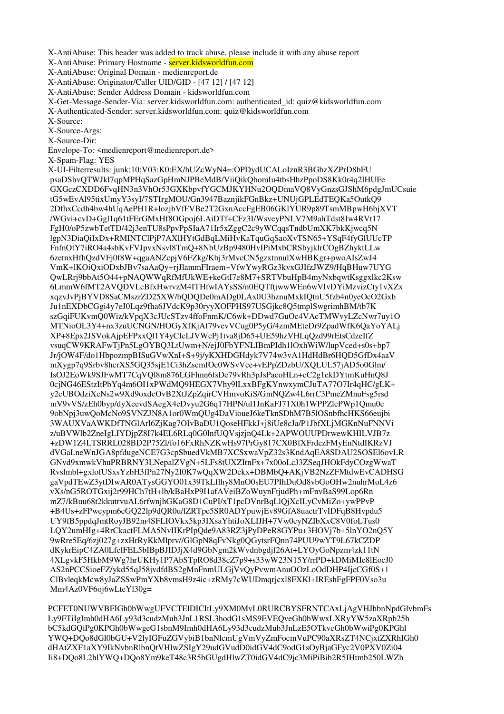X-AntiAbuse: This header was added to track abuse, please include it with any abuse report

X-AntiAbuse: Primary Hostname - server.kidsworldfun.com

X-AntiAbuse: Original Domain - medienreport.de

X-AntiAbuse: Originator/Caller UID/GID - [47 12] / [47 12]

X-AntiAbuse: Sender Address Domain - kidsworldfun.com

X-Get-Message-Sender-Via: server.kidsworldfun.com: authenticated\_id: quiz@kidsworldfun.com

X-Authenticated-Sender: server.kidsworldfun.com: quiz@kidsworldfun.com

X-Source:

X-Source-Args:

X-Source-Dir:

Envelope-To: <medienreport@medienreport.de>

X-Spam-Flag: YES

X-UI-Filterresults: junk:10;V03:K0:EX/hUZcWyN4=:OPDydUCALoIznR3BGbzXZPrD8bFU psaDShvQTWJkl7qpMPHqSazGpHmNJPBeMdB/ViiQikQbomIu4tbsHhzPpoDS8Kk0r4q2lHUFe GXGczCXDD6FvqHN3n3VhOr53GXKbpvfYGCMJKYHNu2OQDmaVQ8VyGnzsGJShM6pdgJmUCsuie tG5wEvAl95tixUmyY3syI/7STIrgMOU/Gn3947BaznjikFGnBkz+UNUjGPLEdTEQKa5OutkQ9 2DfhxCcdh4bw4hUqAePH1R+lozjbVfFVBe2T2GxnAccFgEB06GKlYUR9p89TsmMBpwH6bjXVT /WGvi+cvD+Ggl1q61tFErGMxHf8OGpoj6LAiDTf+CFz3I/WsveyPNLV7M9ahTdst8Iw4RVt17 FgH0/oP5zwbTetTD/42j3enTU8sPpvPpSIaA71Ir5xZggC2c9yWCqqsTndbUmXK7bkKjwcq5N lgpN3DiaQiIxDx+RMINTClPjP7AXlHYtGdBqLMiHvKaTquGqSaoXvTSN65+YSqF4fyGlUUcTP FnfnOtY7iRO4a4sbKvFVJpvxNsvl8TmQ+8NbUzBp9480HvIPiMxbCRSbyjklrCOgBZhyktLLw 6zetnxHfhQzdVFj0f8W+qgaANZcpjV6FZkg/Kbj3rMvcCN5gzxtnnulXwHBKgr+pwoAIsZwJ4 VmK+lKOiQxiODxbJBv7saAaQy+rjJlammFIraem+VfwYwyRGz3kvxGJIfzJWZ9/HqBHuw7UYG QwLRrj9bbAt5O44+pNAQWWqRfMfUkWE+keGtI7e8M7+SRTVbuHpB4myNxbqwtKsggxlkc2Ksw 6LmmW6fMT2AVQDVLcBfxHwrvzM4ITHfwIAYsSS/n0EQTftjwwWEn6wVIvDYiMzvizCty1vXZx xqzvJvPjBYVD8SaCMszrZD25XW/bQDQDe0mADg0LAx0U3hznuMxkIQtnU5fzb4n0yeOcO2Gxb Ju1nEXDbCGgi4y7eJ0Lqz9fha6JVdcK9p30ryyXOFPHS97USGjkc8Q5tmplSwgrimhBM/tb7K szGqiFUKvmQ0Wiz/kVpqX3cJUcSTzv4ffoFnmK/C6wk+DDwd7GuOc4VAcTMWvyLZcNwr7uy1O MTNioOL3Y4+nx3zuUCNGN/HOGyXfKjAf79vevVCug0P5yG/4zmMEteDr9ZpadWfK6QaYoYALj XP+8Epx2JSVokAjpEFPxxQl1Y4yCIcLJVWcPj1tva8jD65+UE59hzVHLqQzd99rEtsCdzeIfZ vsuqCW9KRAFwTjPn5LgOYBQ3LtUwm+N/ejJ0FbYFNLIBmPIdh1lOxhWiW/lupVced+s0s+bp7 Jr/jOW4F/do1HbpozmpBISuGVwXnI+S+9j/yKXHDGHdyk7V74w3vA1HdHdBr6HQD5GfDx4aaV mXygp7q9Srbv8hcrXS5GQ35sjE1Ci3hZscmfOc0WSvVce+vEPpZDzbU/XQLUL57jAD5o0Glm/ IsOJ2EoWk9SJFwMT7CqVQl8m876LGFhnn6fsDe79vRh3pJsPacoHLn+cC2g1ekDYtmKuHnQ8J 0cjNG46EStzItPbYq4m6OI1xPWdMQ9HEGX7Vhy9lLxxBFgKYnwxymCJuTA77O7Ir4qHC/gLK+ y2cUBOdziXcNs2w9Xd9oxdcOvB2XtJZpZqirCVHmvoKiS/GmNQZw4L6rrC3PmeZMnuFsg5rsd mV9vVS/zEh0byp/dyXeevdSAegX4eDvyu2G6q17HPN/ul1JnKaFJ71X0h1WPPZlcPWp1Qmu0e 9obNpj3uwQoMcNo9SVNZJN8A1or0WmQUg4DaVioueJ6keTknSDhM7B5lOSnbfhcHKS66eujbi 3WAUXVaAWKDfTNGlArl6ZjKag7OIvBaDU1QoseHFkkJ+j8iUe8cJa/P1JbfXLjMGKnNuFNNVi z/uBVWlb2ZneIgLIYDjpZ8I7k4EL6RLq0G0lnfUQVsjzjnQ4Lk+2APWOUUPDrwewKHILVJB7z +zDW1Z4LTSRRL028BD2P75Zl/fo16FxRhNZKwHs97PrGy817CX0BfXFrdezFMyEnNtdIKRzVJ dVGaLneWnJGA8pfdugeNCE7G3cpSbuedVkMB7XCSxwaVpZ32s3KndAqEA8SDAU2SOSEl6ovLR GNvd9xmwkVhuPRBRNY3LNepalZVgN+5LFs8tUXZItnFx+7x00oLcJ3ZSeqJHOkFdyCOzgWwaT Rvslmbl+gxlofUSxsYzbH3fPn27Ny2I0K7wQqXW2Dckx+DBMbQ+AKjVB2NzZFMtdwEvCADHSG gaVpdTEwZ3ytDIwAR0ATysGGYO01x39TkLflhy8MnO0sEU7PIhDuOd8vbGoOHw2nuhrMoL4z6 vXs/nG5ROTGxij2r99HCh7tH+lb/kBaHxP9I1afAVeiBZoWuynFtjudPh+mFnvBaS99Lop6Rn mZ7/kBuu68t2kkutrvuAL6rfwnjhGKaG8D1CuPI/xT1pcDVnrBqLlQjXcILyCvMiZo+ywPPvP +B4Us+zFPweypm6eGQ22lp9dQR0u/lZRTpe5SR0ADYpuwjEv89GfA8uactrTvIDFqB8Hvpdu5 UY9fB5ppdqJmtRoyJB92m4SFLIOVkx5kp3IXsaYhtiJoXLIJH+7Vw0eyNZIbXxC8V0foLTus0 LQY2umHIg+4RrCkactFLMA5NvIIKrPIpQde9A83RZ3jPyDPeR8GYPu+3HOVj7b+5lnYO2nQ5Y 9wRre5Eq/6zj027g+zxHrRyKkMlprv//GlGpN8qFvNkg0QGytsrFQnn74PUU9wYT9L67kCZDP dKykrEipC4ZA0LfelFEL5bIBpBJIDJjX4d9GbNgm2kWvdnbgdjf26At+LYOyGoNpzm4zk11tN 4XLgvkF5HkbM9Wg7hrUKHy1P7AbSTpRO8d38cZ7p9+s33wW23N15Y/rrPD+kDMiMIe8lEocJ0 AS2nPCCSioeFZ/ykd55qJ58jvdfdBS2gMnFnmULGjVvQyPvwmAnuOOzLoOdDHP4IjcCGf0S+1 ClBvleqkMcw8yJaZSSwPmYXb8vmsH9z4ic+zRMy7cWUDmqrjcxl8FXKl+IREshFgFPF0Vso3u Mm4Az0VF6oj6wLteYl30g=

PCFET0NUWVBFIGh0bWwgUFVCTElDICItLy9XM0MvL0RURCBYSFRNTCAxLjAgVHJhbnNpdGlvbmFs Ly9FTiIgImh0dHA6Ly93d3cudzMub3JnL1RSL3hodG1sMS9EVEQveGh0bWwxLXRyYW5zaXRpb25h bC5kdGQiPg0KPGh0bWwgeG1sbnM9Imh0dHA6Ly93d3cudzMub3JnLzE5OTkveGh0bWwiPg0KPGhl YWQ+DQo8dGl0bGU+V2lyIGFuZGVybiB1bnNlcmUgVmVyZmFocmVuPC90aXRsZT4NCjxtZXRhIGh0 dHAtZXF1aXY9IkNvbnRlbnQtVHlwZSIgY29udGVudD0idGV4dC9odG1sOyBjaGFyc2V0PXV0Zi04 Ii8+DQo8L2hlYWQ+DQo8Ym9keT48c3R5bGUgdHlwZT0idGV4dC9jc3MiPiBib2R5IHtmb250LWZh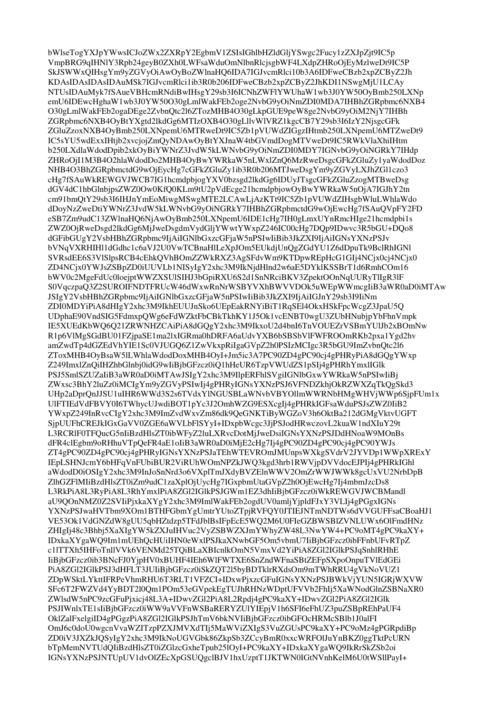bWlseTogYXJpYWwsICJoZWx2ZXRpY2EgbmV1ZSIsIGhlbHZldGljYSwgc2Fucy1zZXJpZit9IC5p VmpBRG9qIHNlY3Rpb24geyB0ZXh0LWFsaWduOmNlbnRlcjsgbWF4LXdpZHRoOjEyMzlweDt9IC5P SkJSWWxQIHsgYm9yZGVyOiAwOyBoZWlnaHQ6IDA7IGJvcmRlci10b3A6IDFweCBzb2xpZCByZ2Jh KDAsIDAsIDAsIDAuMSk7IGJvcmRlci1ib3R0b206IDFweCBzb2xpZCByZ2JhKDI1NSwgMjU1LCAy NTUsIDAuMyk7fSAueVBHcmRNdiBwIHsgY29sb3I6ICNhZWFlYWUhaW1wb3J0YW50OyBmb250LXNp emU6IDEwcHghaW1wb3J0YW50O30gLmlWakFEb2oge2NvbG9yOiNmZDI0MDA7IHBhZGRpbmc6NXB4 O30gLmlWakFEb2ogaDEge2ZvbnQtc2l6ZTozMHB4O30gLkpGUE9peW8ge2NvbG9yOiM2NjY7IHBh ZGRpbmc6NXB4OyBtYXgtd2lkdGg6MTIzOXB4O30gLllvWlVRZ1kgcCB7Y29sb3I6IzY2NjsgcGFk ZGluZzoxNXB4OvBmb250LXNpemU6MTRweDt9IC5Zb1pVUWdZIGgzIHtmb250LXNpemU6MTZweDt9 IC5sYU5wdExxIHtjb2xvcjojZmQyNDAwOyBtYXJnaW4tbGVmdDogMTVweDt9IC5RWkVlaXhiIHtm b250LXdlaWdodDpib2xkOyBiYWNrZ3JvdW5kLWNvbG9yOiNmZDI0MDY7IGNvbG9yOiNGRkY7IHdp ZHRoOjI1M3B4O2hlaWdodDo2MHB4OyBwYWRkaW5nLWxlZnQ6MzRweDsgcGFkZGluZy1yaWdodDoz NHB4O3BhZGRpbmctdG9wOjEycHg7cGFkZGluZy1ib3R0b206MTJweDsgYm9yZGVyLXJhZGl1czo3 cHg7fSAuWkREWGVJWCB7IG1hcmdpbjogYXV0bzsgd2lkdGg6IDUyJTsgcGFkZGluZzogMTBweDsg dGV4dC1hbGlnbjpsZWZ0Ow0KfQ0KLm9tU2pVdEcge21hcmdpbjowOyBwYWRkaW5nOjA7IGJhY2tn cm91bmQtY29sb3I6IHJnYmEoMiwgMSwgMTE2LCAwLjAzKTt9IC5Zb1pVUWdZIHsgbWluLWhlaWdo dDoyNzZweDtiYWNrZ3JvdW5kLWNvbG9yOiNGRkY7IHBhZGRpbmctdG9wOjEwcHg7fSAuQVpFY2FD eSB7Zm9udC13ZWlnaHQ6NjAwOyBmb250LXNpemU6IDE1cHg7IH0gLmxUYnRmcHIge21hcmdpbi1s ZWZ0OjRweDsgd2lkdGg6MiJweDsgdmVvdGliYWwtYWxpZ246IC00cHg7DOp9IDwyc3R5bGU+DOo8 dGFibGUgY2VsbHBhZGRpbmc9IiAiIGNlbGxzcGFiaW5nPSIwIiBib3JkZXI9IiAiIGNsYXNzPSJv bVNqVXRHIH11dGdhc1c6aVJ2U0VwTCBnaHlLeXpJOm5EUkdiUnOgZGdYU1Z6dDpuTk9BclRhIGN1 SVRsdEE6S3VlSlpsRCB4cEhkQVhBOmZZWkRXZ3AgSFdvWm9KTDpwREpHcG1GIj4NCjx0cj4NCjx0 ZD4NCjx0YWJsZSBpZD0iUUVLb1NISyIgY2xhc3M9IkNjdHlnd2w6aE5DYklKSSBrT1d6RmhCOm16 bWV0c2MgeFdUc0loejptWWZXSUlSIHJ3bGpiRXU6S2d1SnNRciBKV3ZpektOOnNqUURyTlIgR3lF S0VqczpaQ3Z2SUROIFNDTFRUcW46dWxwRnNrWSBYVXhBWVVDOk5uWEpWWmcgIiB3aWR0aD0iMTAw JSIgY2VsbHBhZGRpbmc9IjAiIGNlbGxzcGFjaW5nPSIwIiBib3JkZXI9IjAiIGJnY29sb3I9IiNm ZDI0MDYiPiA8dHIgY2xhc3M9IkhEUUJnSko6UEpEakRNYiBiT1RqSEl4OkxHSkFpcWcgZ3JpaU5Q UDphaE90VndSIG5FdmxpQWg6eFdWZktFbCBkTkhKY1J5Ok1vcENBT0wgU3ZUbHNubjpYbFhnVmpk IE5XUEdKbWQ6Q21ZRWNHZCAiPiA8dGQgY2xhc3M9IkxoU2d4bnI6TnVOUEZrVSBmYUIJb2xBOmNw R1p6VlMgSGdBU01FZjpaSE1ma2lxIGRma0hDRFA6aUdvYXB6bSBSbVlFWFROOmRKb2pxa1Ygd2hv amZwdTp4dGZEdVhYIE1Sc0VJUGQ6Z1ZwVkxpRiIgaGVpZ2h0PSIzMCIgc3R5bGU9ImZvbnQtc2l6 ZToxMHB4OyBsaW5lLWhlaWdodDoxMHB4OyI+Jm5ic3A7PC90ZD4gPC90cj4gPHRyPiA8dGQgYWxp Z249ImxlZnQiIHZhbGlnbj0idG9wIiBjbGFzcz0iQ1hHeUR6TzpVWUdZS1pSIj4gPHRhYmxlIGlk PSJ5SmlSZUZaIiB3aWR0aD0iMTAwJSIgY2xhc3M9IlpERFhlSVgiIGNlbGxwYWRkaW5nPSIwIiBj ZWxsc3BhY2luZz0iMCIgYm9yZGVyPSIwIj4gPHRyIGNsYXNzPSJ6VFNDZkhjOkRZWXZqTkQgSkd3 UHp2aDprQnJJSU1uIHR6WWd3S2s6TVdxYlNGUSBLaWNvbVBYOllmWWRNbHMgWHVjWWp6SjpFUm1x UIFTIEdVdFBVY0I6TWhycUJwdiBOT1pYc3J2OmhWZG9ESXcgIj4gPHRkIGFsaWduPSJsZWZ0IiB2 YWxpZ249InRvcCIgY2xhc3M9ImZvdWxvZm86dk9OeGNKTiByWGZoV3h6OktBa212dGMgVktvUGFT SipUUFhCREJkIGxGaVV0ZGE6aWVLbFlSYvI+IDxpbWcgc3JiPSJodHRwczovL2kuaW1ndXIuY29t L3RCRIF0TFQucG5nIiBzdHlsZT0ibWFvZ2luLXRvcDotMiJweDsiIGNsYXNzPSJDdHNoaW9MOnBs dFR4clEgbm9oRHhuVTpOeFR4aE1oIiB3aWR0aD0iMjE2cHg7Ij4gPC90ZD4gPC90cj4gPC90YWJs ZT4gPC90ZD4gPC90cj4gPHRyIGNsYXNzPSJaTEhWTEVROmJMUnpsWXkgSVdrV2JYVDp1WWpXRExY IEpLSHNJcmY6bHFqVnFUbiBUR2ViRUhWOmNPZkJWQ3kgd3hrb1RWVjpDVVdocEJPIj4gPHRkIGhl aWdodD0iOSIgY2xhc3M9InJoSnNrd3o6VXplTmJXdyBVZElnWWV2OmZrWWJWWk8gcUxVU2NrbDpB ZlhGZFlMIiBzdHlsZT0iZm9udC1zaXplOjUycHg7IGxpbmUtaGVpZ2h0OjEwcHg7Ij4mbmJzcDs8 L3RkPiA8L3RyPiA8L3RhYmxlPiA8ZGl2IGlkPSJGWm1EZ3dhIiBjbGFzcz0iWkREWGVJWCBMandl aU9OOnNMZ0Z2SVIiPjxkaXYgY2xhc3M9ImlWakFEb2ogdUV0amljYjpldFJxY3VLIj4gPGgxIGNs YXNzPSJwaHVTbm9XOm1BTHFGbmYgUmtrYUtoZTpjRVFQY0JTIEJNTmNDTWs6dVVGUFFsaCBoaHJ1 VE53Ok1VdGNZdW8gUU5qbHZtdzp5TFdJblBsIFpEcE5WO2M6U0FleGZBWSBlZVNLUWx6OlFmdHNz ZHIgIj48c3Bhbj5XaXIgYW5kZXJuIHVuc2VyZSBWZXJmYWhyZW48L3NwYW4+PC9oMT4gPC9kaXY+ IDxkaXYgaWO9Im1mUEhOcHUiIHN0eWxlPSJkaXNwbGF5Om5vbmU7IiBjbGFzcz0ibFFnbUFvRTpZ c1lTTXh5IHFoTnllVVk6VENMd25TOiBLaXBIcnlkOmN5VmxVd2YiPiA8ZGl2IGlkPSJqSnhlRHhE IiBjbGFzcz0ib3BNcFJ0YjpHV0xBUHF4IEh6WIFWTXE6SnZndWFnaSBtZEFpSXpoOnpuTVlEdGEi PiA8ZGl2IGlkPSJ3dHFLT3JUIiBjbGFzcz0iSkZQT2l5byBDTklrRXdsOm9mTWhRRU4gVkNoVUZ1 ZDpWSktLYkttIFRPeVhmRHU6T3RLT1VFZCI+IDxwPjxzcGFuIGNsYXNzPSJBWkVjYUN5IGRjWXVW SFc6T2FWZVd4YyBDT2l0Qm1POm53eGVpekEgTUJhRHNzWDptUFVVb2FhIj5XaWNodGlnZSBNaXR0 ZWlsdW5nPC9zcGFuPjxicj48L3A+IDwvZGl2PiA8L2Rpdj4gPC9kaXY+IDwvZGl2PiA8ZGl2IGlk PSJIWnlxTE1sIiBjbGFzcz0iWW9aVVFnWSBaRERYZUlYIEpjV1h6SFI6eFhUZ3puZSBpREhPaUF4 OklZalFxelgiID4gPGgzPiA8ZGl2IGlkPSJhTmV6bkNVIiBjbGFzcz0ibGFOcHRMcSBlb1J0alFI OmJ6c0doU0wgcnVvaWZITzpPZXJMVXdTIj5MaWViZXIgS3VuZGUsPC9kaXY+PC9oMz4gPGRpdiBp ZD0jV3JXZkJOSvIgY2xhc3M9IkNoUGVGbk86ZkpSb3ZCcvBmR0xxcWRFOUuYnBKZ0ggTktPcURN bTpMemNVTUdQIiBzdHlsZT0iZGlzcGxheTpub25lOyI+PC9kaXY+IDxkaXYgaWQ9IkRrSkZSb2oi IGNsYXNzPSJNTUpUV1dvOlZEcXpGSUQgclBJV1hxUzptT1JKTWN0IGtNVnhKelM6U0tWSllPayI+